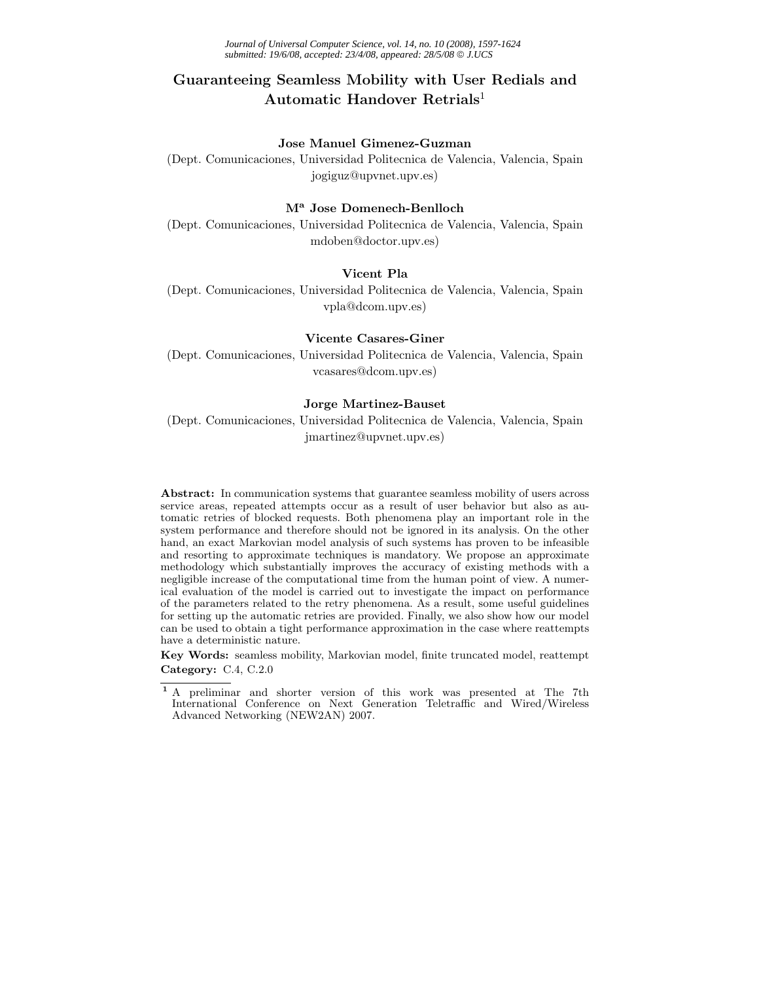# **Guaranteeing Seamless Mobility with User Redials and Automatic Handover Retrials**<sup>1</sup>

#### **Jose Manuel Gimenez-Guzman**

(Dept. Comunicaciones, Universidad Politecnica de Valencia, Valencia, Spain jogiguz@upvnet.upv.es)

#### **M<sup>a</sup> Jose Domenech-Benlloch**

(Dept. Comunicaciones, Universidad Politecnica de Valencia, Valencia, Spain mdoben@doctor.upv.es)

#### **Vicent Pla**

(Dept. Comunicaciones, Universidad Politecnica de Valencia, Valencia, Spain vpla@dcom.upv.es)

## **Vicente Casares-Giner**

(Dept. Comunicaciones, Universidad Politecnica de Valencia, Valencia, Spain vcasares@dcom.upv.es)

#### **Jorge Martinez-Bauset**

(Dept. Comunicaciones, Universidad Politecnica de Valencia, Valencia, Spain jmartinez@upvnet.upv.es)

**Abstract:** In communication systems that guarantee seamless mobility of users across service areas, repeated attempts occur as a result of user behavior but also as automatic retries of blocked requests. Both phenomena play an important role in the system performance and therefore should not be ignored in its analysis. On the other hand, an exact Markovian model analysis of such systems has proven to be infeasible and resorting to approximate techniques is mandatory. We propose an approximate methodology which substantially improves the accuracy of existing methods with a negligible increase of the computational time from the human point of view. A numerical evaluation of the model is carried out to investigate the impact on performance of the parameters related to the retry phenomena. As a result, some useful guidelines for setting up the automatic retries are provided. Finally, we also show how our model can be used to obtain a tight performance approximation in the case where reattempts have a deterministic nature.

**Key Words:** seamless mobility, Markovian model, finite truncated model, reattempt **Category:** C.4, C.2.0

**<sup>1</sup>** A preliminar and shorter version of this work was presented at The 7th International Conference on Next Generation Teletraffic and Wired/Wireless Advanced Networking (NEW2AN) 2007.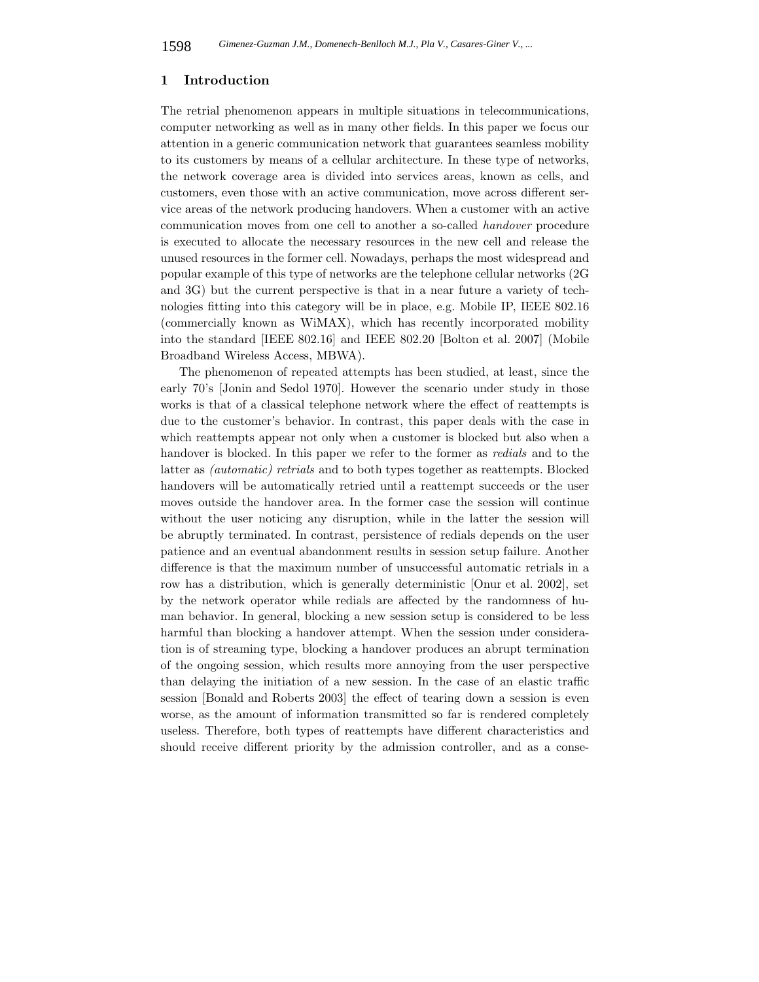### **1 Introduction**

The retrial phenomenon appears in multiple situations in telecommunications, computer networking as well as in many other fields. In this paper we focus our attention in a generic communication network that guarantees seamless mobility to its customers by means of a cellular architecture. In these type of networks, the network coverage area is divided into services areas, known as cells, and customers, even those with an active communication, move across different service areas of the network producing handovers. When a customer with an active communication moves from one cell to another a so-called *handover* procedure is executed to allocate the necessary resources in the new cell and release the unused resources in the former cell. Nowadays, perhaps the most widespread and popular example of this type of networks are the telephone cellular networks (2G and 3G) but the current perspective is that in a near future a variety of technologies fitting into this category will be in place, e.g. Mobile IP, IEEE 802.16 (commercially known as WiMAX), which has recently incorporated mobility into the standard [IEEE 802.16] and IEEE 802.20 [Bolton et al. 2007] (Mobile Broadband Wireless Access, MBWA).

The phenomenon of repeated attempts has been studied, at least, since the early 70's [Jonin and Sedol 1970]. However the scenario under study in those works is that of a classical telephone network where the effect of reattempts is due to the customer's behavior. In contrast, this paper deals with the case in which reattempts appear not only when a customer is blocked but also when a handover is blocked. In this paper we refer to the former as *redials* and to the latter as *(automatic) retrials* and to both types together as reattempts. Blocked handovers will be automatically retried until a reattempt succeeds or the user moves outside the handover area. In the former case the session will continue without the user noticing any disruption, while in the latter the session will be abruptly terminated. In contrast, persistence of redials depends on the user patience and an eventual abandonment results in session setup failure. Another difference is that the maximum number of unsuccessful automatic retrials in a row has a distribution, which is generally deterministic [Onur et al. 2002], set by the network operator while redials are affected by the randomness of human behavior. In general, blocking a new session setup is considered to be less harmful than blocking a handover attempt. When the session under consideration is of streaming type, blocking a handover produces an abrupt termination of the ongoing session, which results more annoying from the user perspective than delaying the initiation of a new session. In the case of an elastic traffic session [Bonald and Roberts 2003] the effect of tearing down a session is even worse, as the amount of information transmitted so far is rendered completely useless. Therefore, both types of reattempts have different characteristics and should receive different priority by the admission controller, and as a conse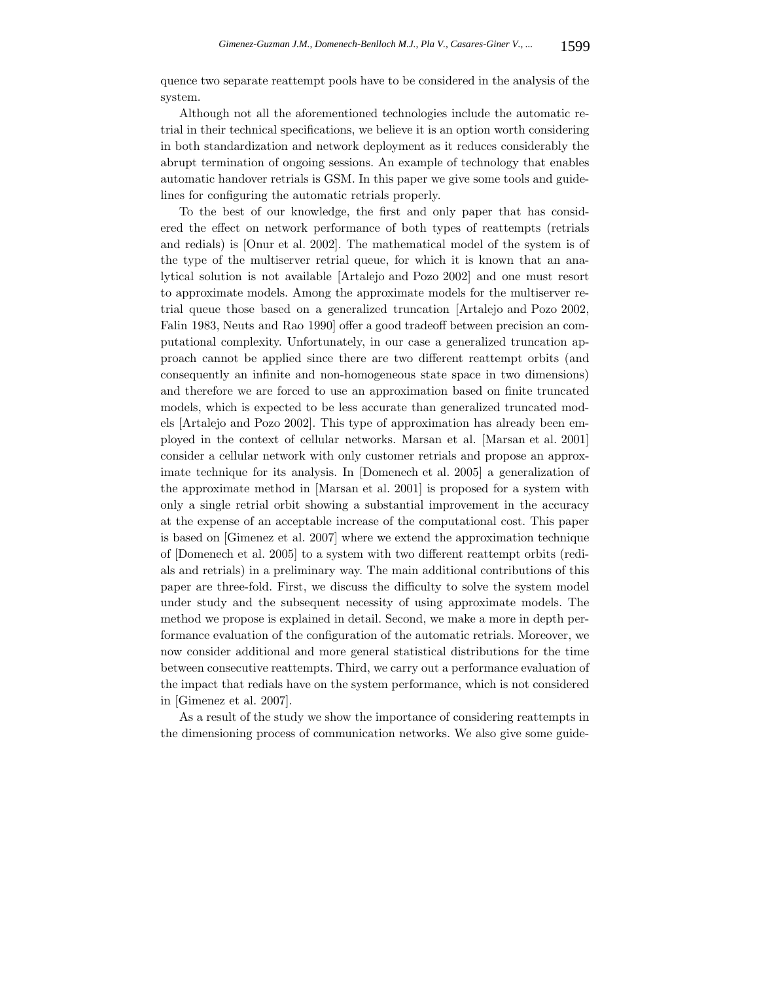quence two separate reattempt pools have to be considered in the analysis of the system.

Although not all the aforementioned technologies include the automatic retrial in their technical specifications, we believe it is an option worth considering in both standardization and network deployment as it reduces considerably the abrupt termination of ongoing sessions. An example of technology that enables automatic handover retrials is GSM. In this paper we give some tools and guidelines for configuring the automatic retrials properly.

To the best of our knowledge, the first and only paper that has considered the effect on network performance of both types of reattempts (retrials and redials) is [Onur et al. 2002]. The mathematical model of the system is of the type of the multiserver retrial queue, for which it is known that an analytical solution is not available [Artalejo and Pozo 2002] and one must resort to approximate models. Among the approximate models for the multiserver retrial queue those based on a generalized truncation [Artalejo and Pozo 2002, Falin 1983, Neuts and Rao 1990] offer a good tradeoff between precision an computational complexity. Unfortunately, in our case a generalized truncation approach cannot be applied since there are two different reattempt orbits (and consequently an infinite and non-homogeneous state space in two dimensions) and therefore we are forced to use an approximation based on finite truncated models, which is expected to be less accurate than generalized truncated models [Artalejo and Pozo 2002]. This type of approximation has already been employed in the context of cellular networks. Marsan et al. [Marsan et al. 2001] consider a cellular network with only customer retrials and propose an approximate technique for its analysis. In [Domenech et al. 2005] a generalization of the approximate method in [Marsan et al. 2001] is proposed for a system with only a single retrial orbit showing a substantial improvement in the accuracy at the expense of an acceptable increase of the computational cost. This paper is based on [Gimenez et al. 2007] where we extend the approximation technique of [Domenech et al. 2005] to a system with two different reattempt orbits (redials and retrials) in a preliminary way. The main additional contributions of this paper are three-fold. First, we discuss the difficulty to solve the system model under study and the subsequent necessity of using approximate models. The method we propose is explained in detail. Second, we make a more in depth performance evaluation of the configuration of the automatic retrials. Moreover, we now consider additional and more general statistical distributions for the time between consecutive reattempts. Third, we carry out a performance evaluation of the impact that redials have on the system performance, which is not considered in [Gimenez et al. 2007].

As a result of the study we show the importance of considering reattempts in the dimensioning process of communication networks. We also give some guide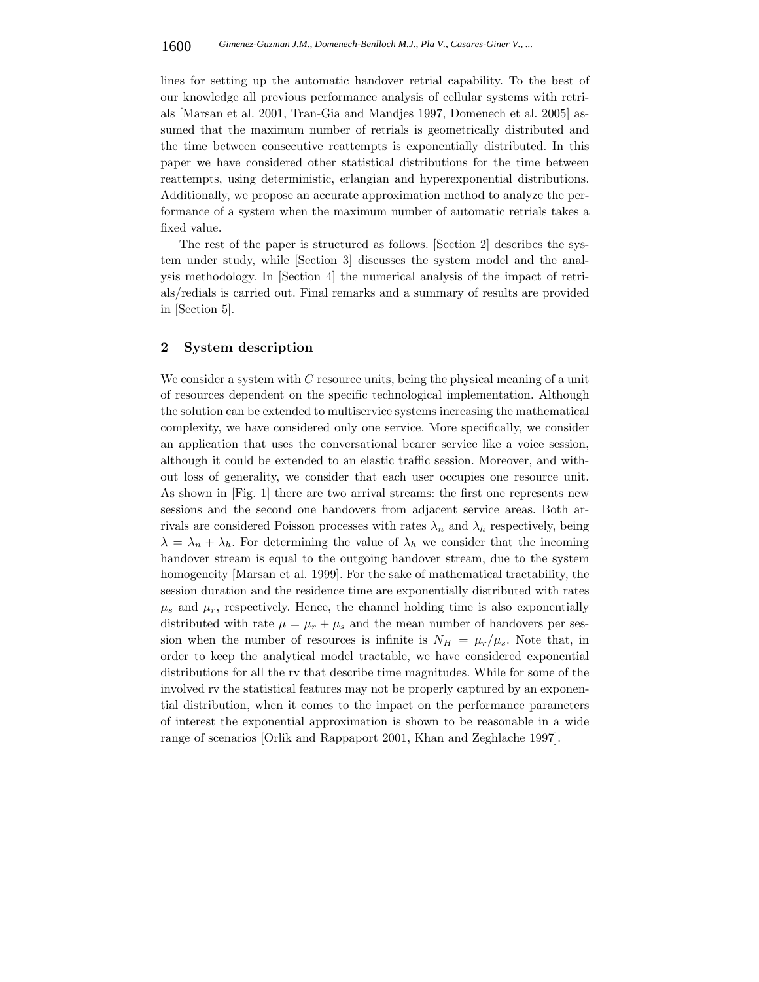lines for setting up the automatic handover retrial capability. To the best of our knowledge all previous performance analysis of cellular systems with retrials [Marsan et al. 2001, Tran-Gia and Mandjes 1997, Domenech et al. 2005] assumed that the maximum number of retrials is geometrically distributed and the time between consecutive reattempts is exponentially distributed. In this paper we have considered other statistical distributions for the time between reattempts, using deterministic, erlangian and hyperexponential distributions. Additionally, we propose an accurate approximation method to analyze the performance of a system when the maximum number of automatic retrials takes a fixed value.

The rest of the paper is structured as follows. [Section 2] describes the system under study, while [Section 3] discusses the system model and the analysis methodology. In [Section 4] the numerical analysis of the impact of retrials/redials is carried out. Final remarks and a summary of results are provided in [Section 5].

#### **2 System description**

We consider a system with  $C$  resource units, being the physical meaning of a unit of resources dependent on the specific technological implementation. Although the solution can be extended to multiservice systems increasing the mathematical complexity, we have considered only one service. More specifically, we consider an application that uses the conversational bearer service like a voice session, although it could be extended to an elastic traffic session. Moreover, and without loss of generality, we consider that each user occupies one resource unit. As shown in [Fig. 1] there are two arrival streams: the first one represents new sessions and the second one handovers from adjacent service areas. Both arrivals are considered Poisson processes with rates  $\lambda_n$  and  $\lambda_h$  respectively, being  $\lambda = \lambda_n + \lambda_h$ . For determining the value of  $\lambda_h$  we consider that the incoming handover stream is equal to the outgoing handover stream, due to the system homogeneity [Marsan et al. 1999]. For the sake of mathematical tractability, the session duration and the residence time are exponentially distributed with rates  $\mu_s$  and  $\mu_r$ , respectively. Hence, the channel holding time is also exponentially distributed with rate  $\mu = \mu_r + \mu_s$  and the mean number of handovers per session when the number of resources is infinite is  $N_H = \mu_r/\mu_s$ . Note that, in order to keep the analytical model tractable, we have considered exponential distributions for all the rv that describe time magnitudes. While for some of the involved rv the statistical features may not be properly captured by an exponential distribution, when it comes to the impact on the performance parameters of interest the exponential approximation is shown to be reasonable in a wide range of scenarios [Orlik and Rappaport 2001, Khan and Zeghlache 1997].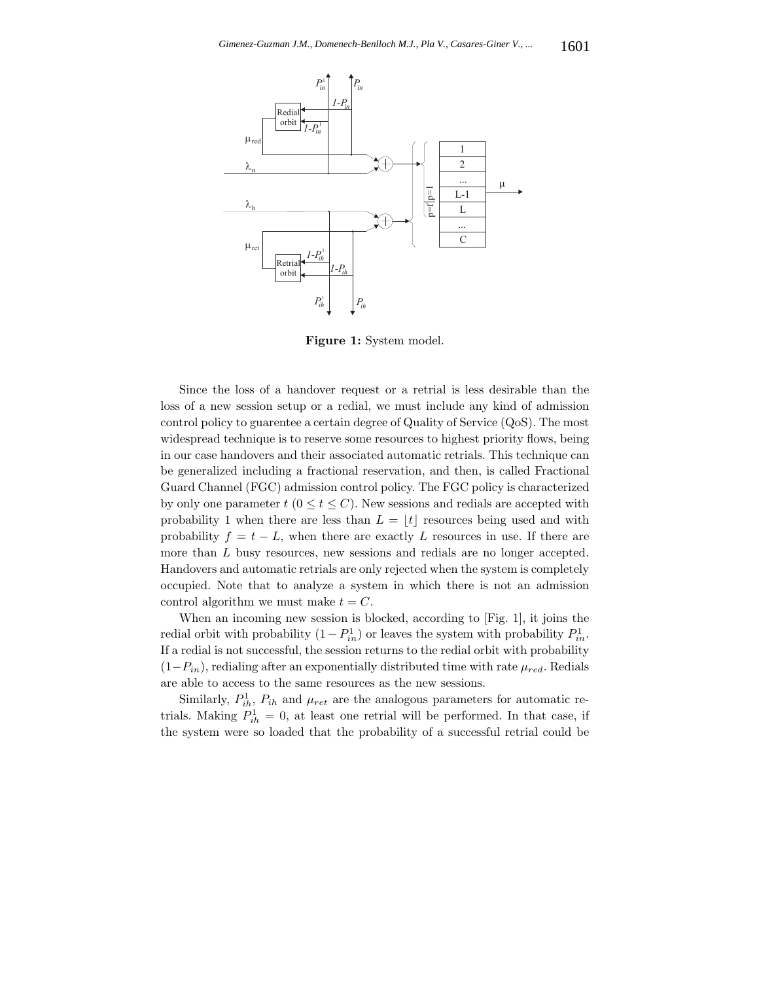

**Figure 1:** System model.

Since the loss of a handover request or a retrial is less desirable than the loss of a new session setup or a redial, we must include any kind of admission control policy to guarentee a certain degree of Quality of Service (QoS). The most widespread technique is to reserve some resources to highest priority flows, being in our case handovers and their associated automatic retrials. This technique can be generalized including a fractional reservation, and then, is called Fractional Guard Channel (FGC) admission control policy. The FGC policy is characterized by only one parameter  $t$  ( $0 \le t \le C$ ). New sessions and redials are accepted with probability 1 when there are less than  $L = |t|$  resources being used and with probability  $f = t - L$ , when there are exactly L resources in use. If there are more than L busy resources, new sessions and redials are no longer accepted. Handovers and automatic retrials are only rejected when the system is completely occupied. Note that to analyze a system in which there is not an admission control algorithm we must make  $t = C$ .

When an incoming new session is blocked, according to [Fig. 1], it joins the redial orbit with probability  $(1 - P_{in}^1)$  or leaves the system with probability  $P_{in}^1$ . If a redial is not successful, the session returns to the redial orbit with probability  $(1-P_{in})$ , redialing after an exponentially distributed time with rate  $\mu_{red}$ . Redials are able to access to the same resources as the new sessions.

Similarly,  $P_{ih}^1$ ,  $P_{ih}$  and  $\mu_{ret}$  are the analogous parameters for automatic retrials. Making  $P_{ih}^1 = 0$ , at least one retrial will be performed. In that case, if the system were so loaded that the probability of a successful retrial could be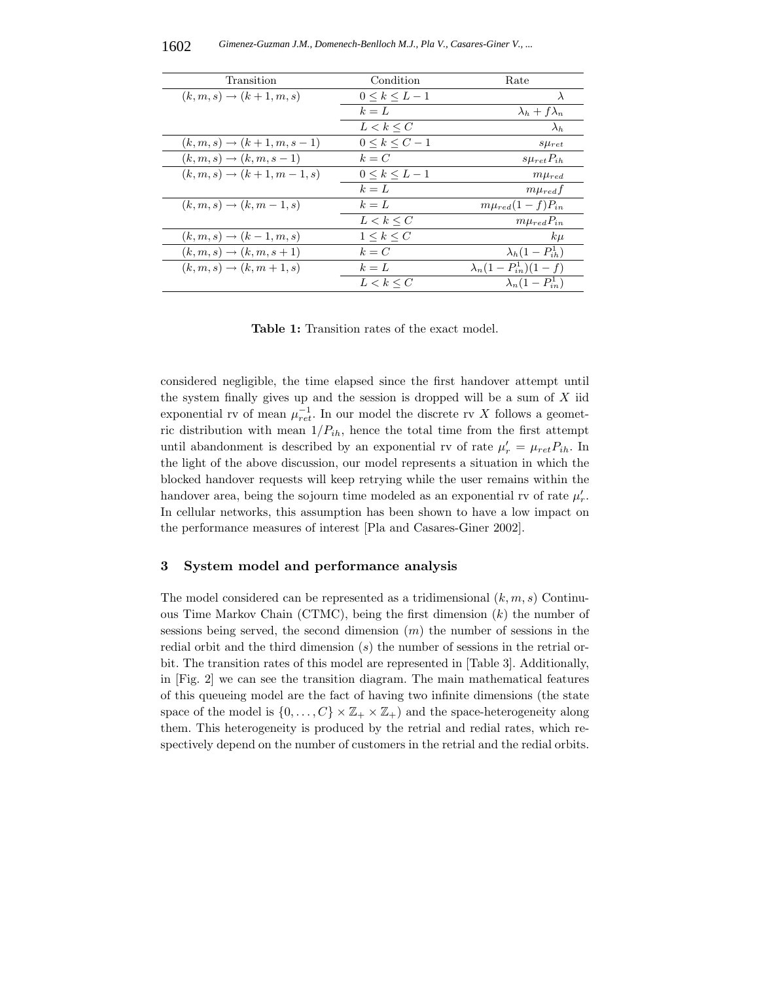| Transition                                | Condition<br>Rate   |                              |
|-------------------------------------------|---------------------|------------------------------|
| $(k, m, s) \rightarrow (k+1, m, s)$       | $0 \leq k \leq L-1$ | $\lambda$                    |
|                                           | $k = L$             | $\lambda_h + f\lambda_n$     |
|                                           | $L < k \leq C$      | $\lambda_h$                  |
| $(k, m, s) \rightarrow (k + 1, m, s - 1)$ | $0 \leq k \leq C-1$ | $s\mu_{ret}$                 |
| $(k, m, s) \rightarrow (k, m, s - 1)$     | $k = C$             | $s\mu_{ret}P_{ih}$           |
| $(k, m, s) \rightarrow (k + 1, m - 1, s)$ | $0 \leq k \leq L-1$ | $m\mu_{red}$                 |
|                                           | $k = L$             | $m\mu_{red}f$                |
| $(k, m, s) \rightarrow (k, m-1, s)$       | $k = L$             | $m\mu_{red}(1-f)P_{in}$      |
|                                           | $L < k \leq C$      | $m\mu_{red}P_{in}$           |
| $(k, m, s) \rightarrow (k-1, m, s)$       | $1 \leq k \leq C$   | $k\mu$                       |
| $(k, m, s) \rightarrow (k, m, s + 1)$     | $k = C$             | $\lambda_h(1-P_{ih}^1)$      |
| $(k, m, s) \rightarrow (k, m + 1, s)$     | $k = L$             | $\lambda_n(1-P_{in}^1)(1-f)$ |
|                                           | $L < k \leq C$      | $\lambda_n(1-P_{in}^1)$      |

**Table 1:** Transition rates of the exact model.

considered negligible, the time elapsed since the first handover attempt until the system finally gives up and the session is dropped will be a sum of  $X$  iid exponential rv of mean  $\mu_{ret}^{-1}$ . In our model the discrete rv X follows a geometric distribution with mean  $1/P_{ih}$ , hence the total time from the first attempt until abandonment is described by an exponential rv of rate  $\mu'_{r} = \mu_{ret} P_{ih}$ . In the light of the above discussion, our model represents a situation in which the blocked handover requests will keep retrying while the user remains within the handover area, being the sojourn time modeled as an exponential rv of rate  $\mu'_r$ . In cellular networks, this assumption has been shown to have a low impact on the performance measures of interest [Pla and Casares-Giner 2002].

## **3 System model and performance analysis**

The model considered can be represented as a tridimensional  $(k, m, s)$  Continuous Time Markov Chain (CTMC), being the first dimension  $(k)$  the number of sessions being served, the second dimension  $(m)$  the number of sessions in the redial orbit and the third dimension  $(s)$  the number of sessions in the retrial orbit. The transition rates of this model are represented in [Table 3]. Additionally, in [Fig. 2] we can see the transition diagram. The main mathematical features of this queueing model are the fact of having two infinite dimensions (the state space of the model is  $\{0,\ldots,C\}\times\mathbb{Z}_+\times\mathbb{Z}_+$  and the space-heterogeneity along them. This heterogeneity is produced by the retrial and redial rates, which respectively depend on the number of customers in the retrial and the redial orbits.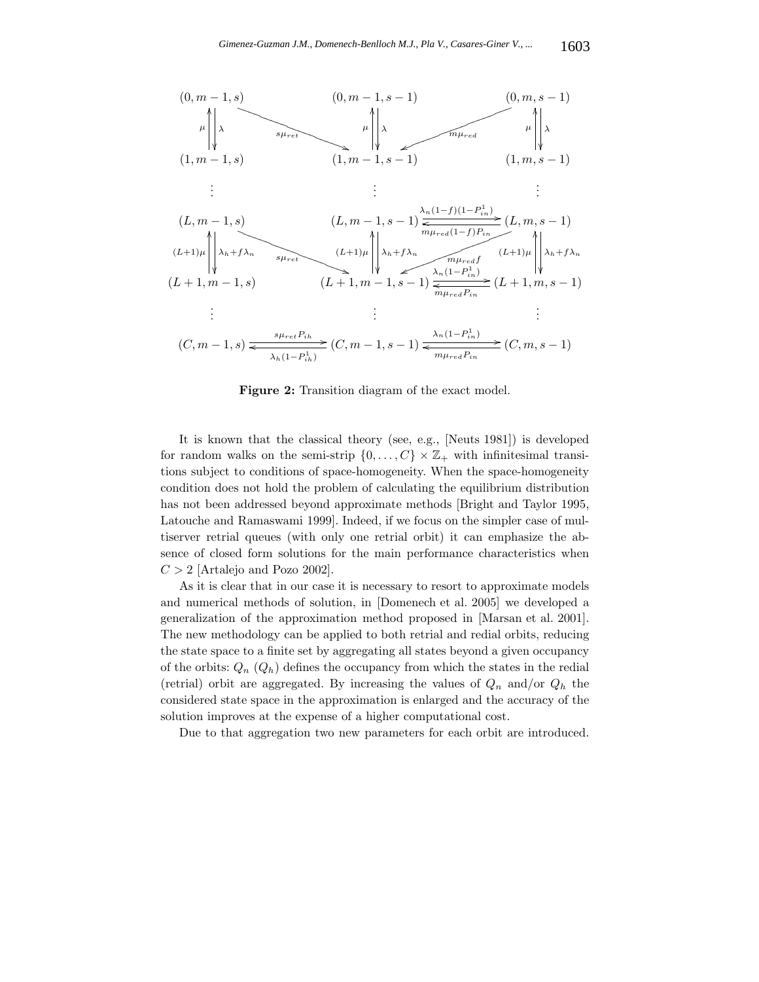

**Figure 2:** Transition diagram of the exact model.

It is known that the classical theory (see, e.g., [Neuts 1981]) is developed for random walks on the semi-strip  $\{0,\ldots,C\}\times\mathbb{Z}_+$  with infinitesimal transitions subject to conditions of space-homogeneity. When the space-homogeneity condition does not hold the problem of calculating the equilibrium distribution has not been addressed beyond approximate methods [Bright and Taylor 1995, Latouche and Ramaswami 1999]. Indeed, if we focus on the simpler case of multiserver retrial queues (with only one retrial orbit) it can emphasize the absence of closed form solutions for the main performance characteristics when  $C > 2$  [Artalejo and Pozo 2002].

As it is clear that in our case it is necessary to resort to approximate models and numerical methods of solution, in [Domenech et al. 2005] we developed a generalization of the approximation method proposed in [Marsan et al. 2001]. The new methodology can be applied to both retrial and redial orbits, reducing the state space to a finite set by aggregating all states beyond a given occupancy of the orbits:  $Q_n(Q_h)$  defines the occupancy from which the states in the redial (retrial) orbit are aggregated. By increasing the values of  $Q_n$  and/or  $Q_h$  the considered state space in the approximation is enlarged and the accuracy of the solution improves at the expense of a higher computational cost.

Due to that aggregation two new parameters for each orbit are introduced.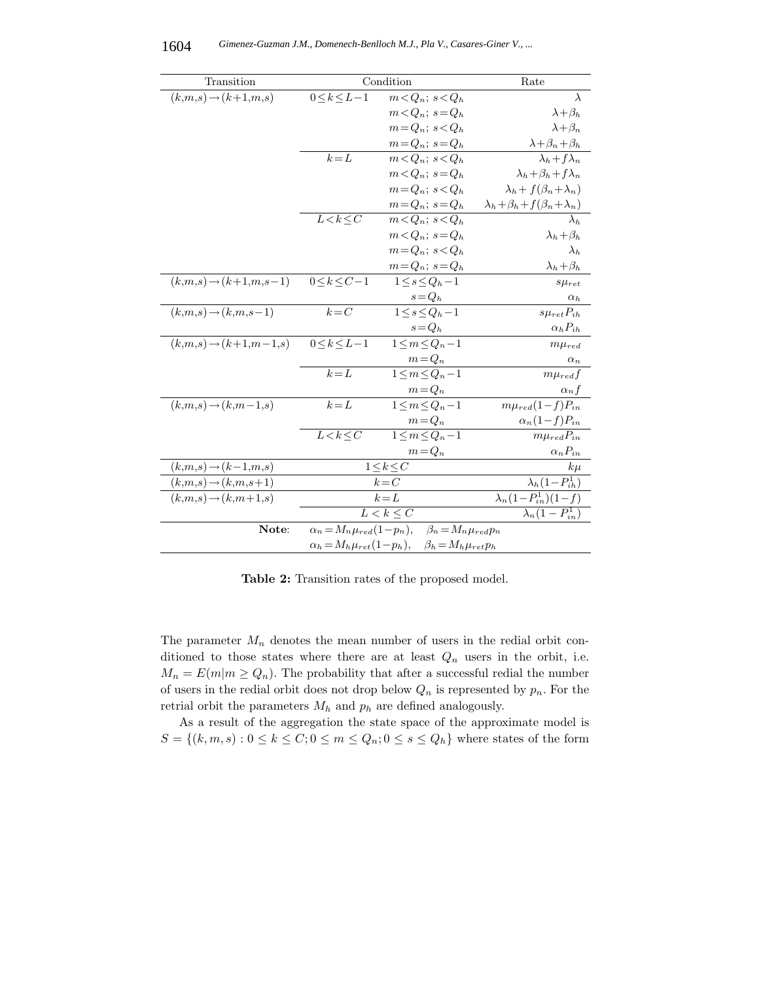| Transition                        | Condition                                                               |                         | Rate                                           |  |
|-----------------------------------|-------------------------------------------------------------------------|-------------------------|------------------------------------------------|--|
| $(k,m,s) \rightarrow (k+1,m,s)$   | $0\!\le\!k\!\le\!L\!-\!1$                                               | $m < Q_n$ ; $s < Q_h$   | $\lambda$                                      |  |
|                                   |                                                                         | $m < Q_n$ ; $s = Q_h$   | $\lambda + \beta_h$                            |  |
|                                   |                                                                         | $m = Q_n$ ; $s < Q_h$   | $\lambda + \beta_n$                            |  |
|                                   |                                                                         | $m = Q_n$ ; $s = Q_h$   | $\lambda + \beta_n + \beta_h$                  |  |
|                                   | $k = L$                                                                 | $m < Q_n$ ; $s < Q_h$   | $\lambda_h + f \lambda_n$                      |  |
|                                   |                                                                         | $m < Q_n$ ; $s = Q_h$   | $\lambda_h + \beta_h + f \lambda_n$            |  |
|                                   |                                                                         | $m = Q_n$ ; $s < Q_h$   | $\lambda_h + f(\beta_n + \lambda_n)$           |  |
|                                   |                                                                         | $m = Q_n$ ; $s = Q_h$   | $\lambda_h + \beta_h + f(\beta_n + \lambda_n)$ |  |
|                                   | $L < k \leq C$                                                          | $m < Q_n$ ; $s < Q_h$   | $\lambda_h$                                    |  |
|                                   |                                                                         | $m < Q_n$ ; $s = Q_h$   | $\lambda_h + \beta_h$                          |  |
|                                   |                                                                         | $m = Q_n$ ; $s < Q_h$   | $\lambda_h$                                    |  |
|                                   |                                                                         | $m = Q_n$ ; $s = Q_h$   | $\lambda_h + \beta_h$                          |  |
| $(k,m,s) \rightarrow (k+1,m,s-1)$ | $0\leq k\leq C-1$                                                       | $1 \leq s \leq Q_h-1$   | $s\mu_{ret}$                                   |  |
|                                   |                                                                         | $s = Q_h$               | $\alpha_h$                                     |  |
| $(k,m,s) \rightarrow (k,m,s-1)$   | $k = C$                                                                 | $1 \leq s \leq Q_h-1$   | $s\mu_{ret}P_{ih}$                             |  |
|                                   |                                                                         | $s = Q_h$               | $\alpha_h P_{ih}$                              |  |
| $(k,m,s) \rightarrow (k+1,m-1,s)$ | $0 < k < L - 1$                                                         | $1 \leq m \leq Q_n-1$   | $m\mu_{red}$                                   |  |
|                                   |                                                                         | $m = Q_n$               | $\alpha_n$                                     |  |
|                                   | $k = L$                                                                 | $1 \leq m \leq Q_n - 1$ | $m\mu_{red}f$                                  |  |
|                                   |                                                                         | $m = Q_n$               | $\alpha_n f$                                   |  |
| $(k,m,s) \rightarrow (k,m-1,s)$   | $k = L$                                                                 | $1 \leq m \leq Q_n-1$   | $m\mu_{red}(1-f)P_{in}$                        |  |
|                                   |                                                                         | $m = Q_n$               | $\alpha_n(1-f)P_{in}$                          |  |
|                                   | $L < k \leq C$                                                          | $1 \leq m \leq Q_n-1$   | $m\mu_{red}P_{in}$                             |  |
|                                   |                                                                         | $m = Q_n$               | $\alpha_n P_{in}$                              |  |
| $(k,m,s) \rightarrow (k-1,m,s)$   | $1 \leq k \leq C$                                                       |                         | $k\mu$                                         |  |
| $(k,m,s) \rightarrow (k,m,s+1)$   | $k = C$                                                                 |                         | $\lambda_h(1-P_{ih}^1)$                        |  |
| $(k,m,s) \rightarrow (k,m+1,s)$   | $k = L$                                                                 |                         | $\lambda_n(1-P_{in}^1)(1-f)$                   |  |
|                                   | $\overline{L} \leq k \leq C$                                            |                         | $\lambda_n(1-P_{in}^1)$                        |  |
| Note:                             | $\alpha_n = M_n \mu_{red}(1-p_n), \quad \beta_n = M_n \mu_{red} p_n$    |                         |                                                |  |
|                                   | $\alpha_h = M_h \mu_{ret} (1 - p_h), \quad \beta_h = M_h \mu_{ret} p_h$ |                         |                                                |  |

**Table 2:** Transition rates of the proposed model.

The parameter  $M_n$  denotes the mean number of users in the redial orbit conditioned to those states where there are at least  $Q_n$  users in the orbit, i.e.  $M_n = E(m|m \geq Q_n)$ . The probability that after a successful redial the number of users in the redial orbit does not drop below  $Q_n$  is represented by  $p_n$ . For the retrial orbit the parameters  $M_h$  and  $p_h$  are defined analogously.

As a result of the aggregation the state space of the approximate model is  $S = \{(k, m, s): 0 \leq k \leq C; 0 \leq m \leq Q_n; 0 \leq s \leq Q_h\}$  where states of the form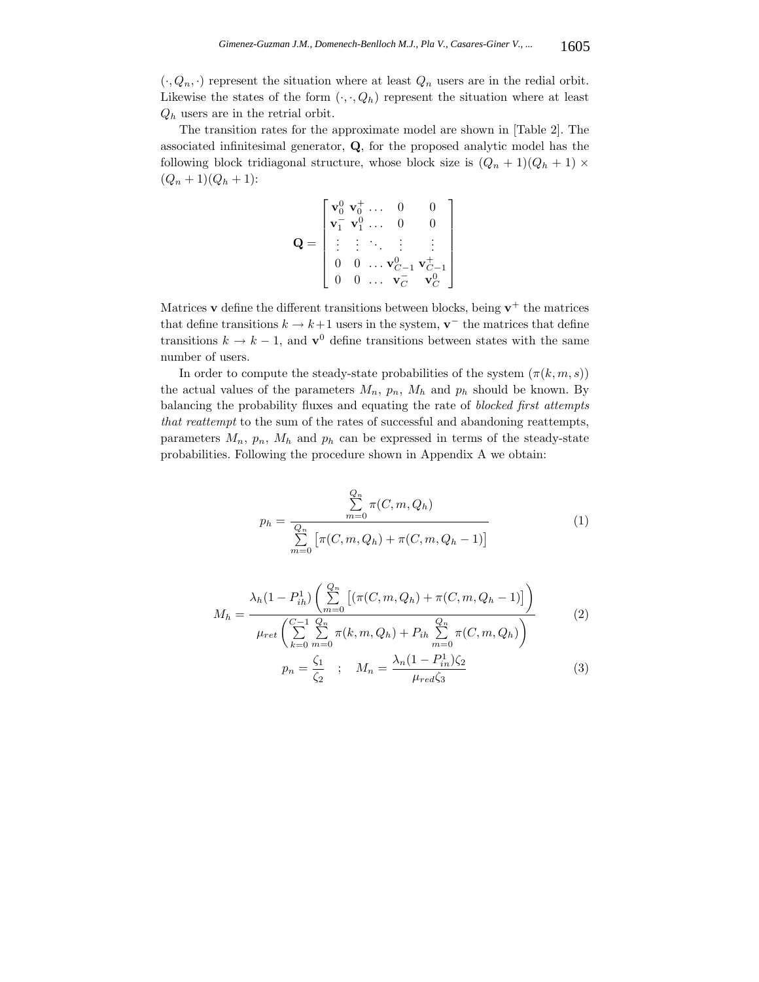$(\cdot, Q_n, \cdot)$  represent the situation where at least  $Q_n$  users are in the redial orbit. Likewise the states of the form  $(\cdot, \cdot, Q_h)$  represent the situation where at least  $Q_h$  users are in the retrial orbit.

The transition rates for the approximate model are shown in [Table 2]. The associated infinitesimal generator, **Q**, for the proposed analytic model has the following block tridiagonal structure, whose block size is  $(Q_n + 1)(Q_h + 1) \times$  $(Q_n + 1)(Q_h + 1)$ :

$$
\mathbf{Q} = \begin{bmatrix} \mathbf{v}_0^0 & \mathbf{v}_0^+ & \dots & 0 & 0 \\ \mathbf{v}_1^- & \mathbf{v}_1^0 & \dots & 0 & 0 \\ \vdots & \vdots & \ddots & \vdots & \vdots \\ 0 & 0 & \dots & \mathbf{v}_{C-1}^0 & \mathbf{v}_{C-1}^+ \\ 0 & 0 & \dots & \mathbf{v}_C^- & \mathbf{v}_C^0 \end{bmatrix}
$$

Matrices **v** define the different transitions between blocks, being  $\mathbf{v}^+$  the matrices that define transitions  $k \to k+1$  users in the system, **v**<sup>−</sup> the matrices that define transitions  $k \to k - 1$ , and **v**<sup>0</sup> define transitions between states with the same number of users.

In order to compute the steady-state probabilities of the system  $(\pi(k, m, s))$ the actual values of the parameters  $M_n$ ,  $p_n$ ,  $M_h$  and  $p_h$  should be known. By balancing the probability fluxes and equating the rate of *blocked first attempts that reattempt* to the sum of the rates of successful and abandoning reattempts, parameters  $M_n$ ,  $p_n$ ,  $M_h$  and  $p_h$  can be expressed in terms of the steady-state probabilities. Following the procedure shown in Appendix A we obtain:

$$
p_h = \frac{\sum_{m=0}^{Q_n} \pi(C, m, Q_h)}{\sum_{m=0}^{Q_n} [\pi(C, m, Q_h) + \pi(C, m, Q_h - 1)]}
$$
(1)

$$
M_h = \frac{\lambda_h (1 - P_{ih}^1) \left( \sum_{m=0}^{Q_n} \left[ (\pi(C, m, Q_h) + \pi(C, m, Q_h - 1)) \right] \right)}{\mu_{ret} \left( \sum_{k=0}^{C-1} \sum_{m=0}^{Q_n} \pi(k, m, Q_h) + P_{ih} \sum_{m=0}^{Q_n} \pi(C, m, Q_h) \right)}
$$
(2)  

$$
\zeta_1 \qquad M \qquad \lambda_n (1 - P_{ih}^1) \zeta_2
$$

$$
p_n = \frac{\zeta_1}{\zeta_2} \quad ; \quad M_n = \frac{\lambda_n (1 - P_{in}^1) \zeta_2}{\mu_{red} \zeta_3} \tag{3}
$$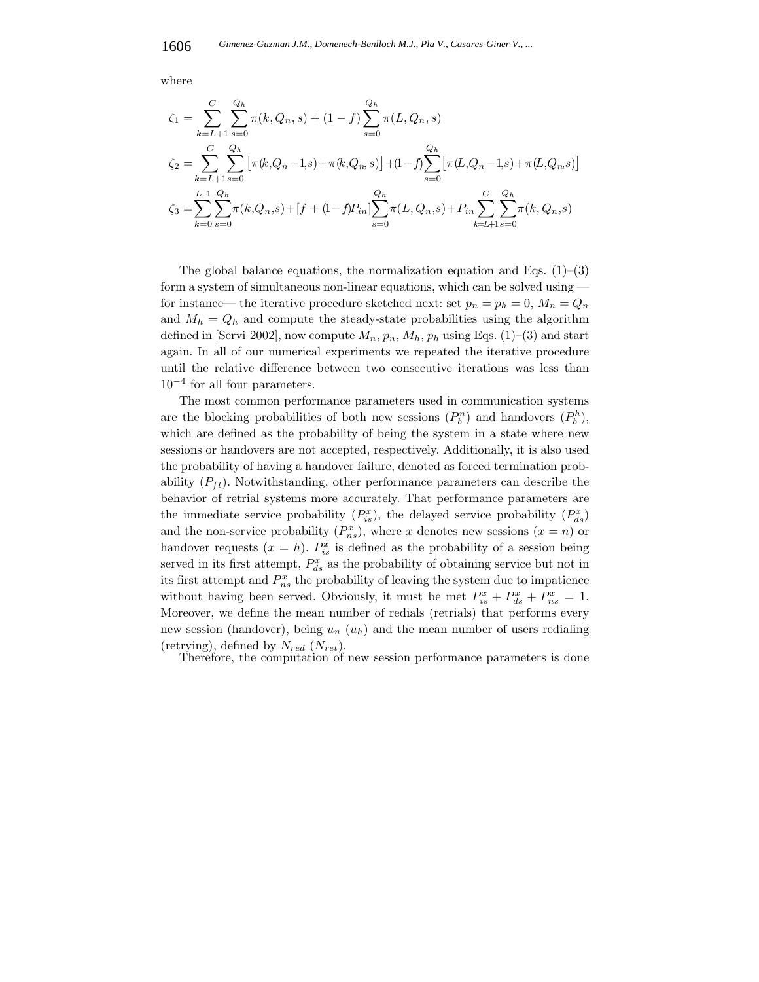where

$$
\zeta_1 = \sum_{k=L+1}^{C} \sum_{s=0}^{Q_h} \pi(k, Q_n, s) + (1 - f) \sum_{s=0}^{Q_h} \pi(L, Q_n, s)
$$
  
\n
$$
\zeta_2 = \sum_{k=L+1}^{C} \sum_{s=0}^{Q_h} \left[ \pi(k, Q_n - 1, s) + \pi(k, Q_n, s) \right] + (1 - f) \sum_{s=0}^{Q_h} \left[ \pi(L, Q_n - 1, s) + \pi(L, Q_n, s) \right]
$$
  
\n
$$
\zeta_3 = \sum_{k=0}^{L-1} \sum_{s=0}^{Q_h} \pi(k, Q_n, s) + [f + (1 - f)P_{in}] \sum_{s=0}^{Q_h} \pi(L, Q_n, s) + P_{in} \sum_{k=L+1}^{C} \sum_{s=0}^{Q_h} \pi(k, Q_n, s)
$$

The global balance equations, the normalization equation and Eqs.  $(1)$ – $(3)$ form a system of simultaneous non-linear equations, which can be solved using for instance— the iterative procedure sketched next: set  $p_n = p_h = 0$ ,  $M_n = Q_n$ and  $M_h = Q_h$  and compute the steady-state probabilities using the algorithm defined in [Servi 2002], now compute  $M_n$ ,  $p_n$ ,  $M_h$ ,  $p_h$  using Eqs. (1)–(3) and start again. In all of our numerical experiments we repeated the iterative procedure until the relative difference between two consecutive iterations was less than  $10^{-4}$  for all four parameters.

The most common performance parameters used in communication systems are the blocking probabilities of both new sessions  $(P_b^n)$  and handovers  $(P_b^h)$ , which are defined as the probability of being the system in a state where new sessions or handovers are not accepted, respectively. Additionally, it is also used the probability of having a handover failure, denoted as forced termination probability  $(P_{ft})$ . Notwithstanding, other performance parameters can describe the behavior of retrial systems more accurately. That performance parameters are the immediate service probability  $(P_{is}^x)$ , the delayed service probability  $(P_{ds}^x)$ and the non-service probability  $(P_{ns}^x)$ , where x denotes new sessions  $(x = n)$  or handover requests  $(x = h)$ .  $P_{is}^x$  is defined as the probability of a session being served in its first attempt,  $P_{ds}^x$  as the probability of obtaining service but not in its first attempt and  $P_{ns}^x$  the probability of leaving the system due to impatience without having been served. Obviously, it must be met  $P_{is}^x + P_{ds}^x + P_{ns}^x = 1$ . Moreover, we define the mean number of redials (retrials) that performs every new session (handover), being  $u_n(u_h)$  and the mean number of users redialing (retrying), defined by  $N_{red}$  ( $N_{ret}$ ).

Therefore, the computation of new session performance parameters is done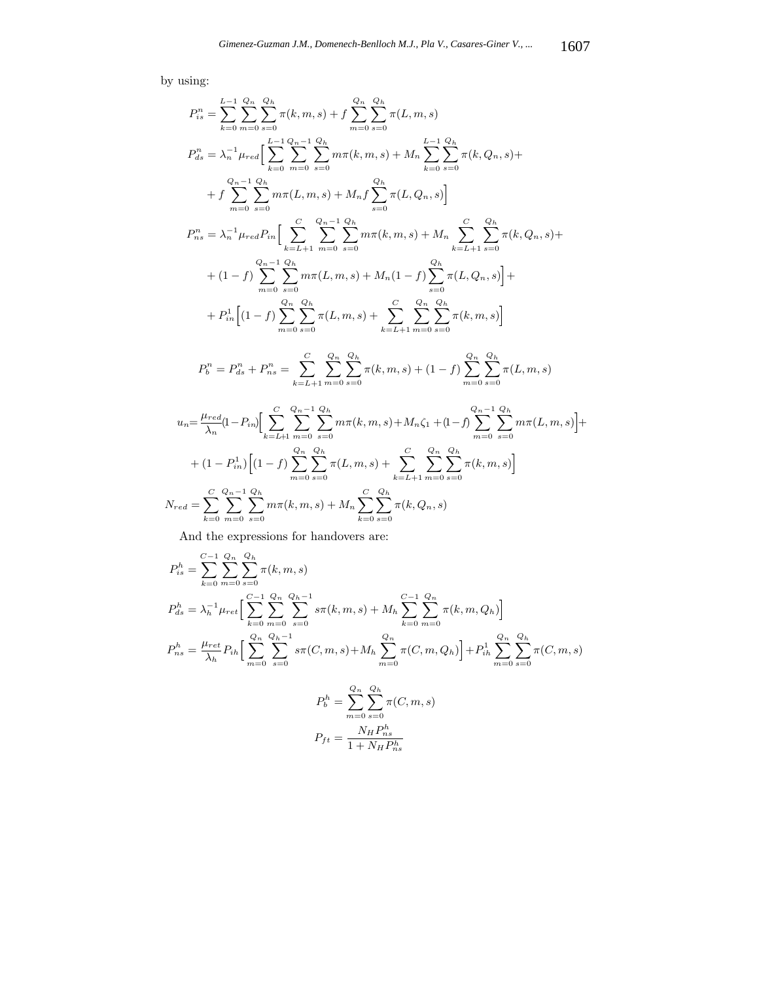by using:

$$
P_{is}^{n} = \sum_{k=0}^{L-1} \sum_{s=0}^{Q_n} \sum_{s=0}^{Q_n} \pi(k, m, s) + f \sum_{m=0}^{Q_n} \sum_{s=0}^{Q_n} \pi(L, m, s)
$$
  
\n
$$
P_{ds}^{n} = \lambda_n^{-1} \mu_{red} \Big[ \sum_{k=0}^{L-1} \sum_{m=0}^{Q_n} \sum_{s=0}^{Q_n} m\pi(k, m, s) + M_n \sum_{k=0}^{L-1} \sum_{s=0}^{Q_n} \pi(k, Q_n, s) + f \sum_{m=0}^{Q_n} \sum_{s=0}^{Q_n} m\pi(L, m, s) + M_n f \sum_{s=0}^{Q_n} \pi(L, Q_n, s) \Big]
$$
  
\n
$$
P_{ns}^{n} = \lambda_n^{-1} \mu_{red} P_{in} \Big[ \sum_{k=L+1}^{C} \sum_{m=0}^{Q_n} \sum_{s=0}^{Q_n} m\pi(k, m, s) + M_n \sum_{k=L+1}^{C} \sum_{s=0}^{Q_n} \pi(k, Q_n, s) + f \sum_{k=L+1}^{Q_n} \sum_{s=0}^{Q_n} \pi(k, Q_n, s) + f \sum_{k=L+1}^{Q_n} \sum_{s=0}^{Q_n} \sum_{s=0}^{Q_n} m(L, m, s) + M_n (1 - f) \sum_{s=0}^{Q_n} \pi(L, Q_n, s) \Big] + f \sum_{m=0}^{Q_n} \sum_{s=0}^{Q_n} \pi(L, m, s) + \sum_{k=L+1}^{C} \sum_{m=0}^{Q_n} \sum_{s=0}^{Q_n} \pi(k, m, s) \Big]
$$
  
\n
$$
P_{b}^{n} = P_{ds}^{n} + P_{ns}^{n} = \sum_{k=L+1}^{C} \sum_{m=0}^{Q_n} \sum_{s=0}^{Q_n} \pi(k, m, s) + (1 - f) \sum_{m=0}^{Q_n} \sum_{s=0}^{Q_n} \pi(L, m, s)
$$
  
\n
$$
u_n = \frac{\mu_{red}}{\lambda_n} (1 - P_{in}) \Big[ \sum_{k=L+1}^{C} \sum_{m=0}^{Q_n} \sum_{s=0}^{Q_n} m\pi(k, m, s) + M_n \zeta_1 + (1 - f) \sum_{m=
$$

And the expressions for handovers are:

$$
P_{is}^{h} = \sum_{k=0}^{C-1} \sum_{m=0}^{Q_h} \sum_{s=0}^{Q_h} \pi(k, m, s)
$$
  
\n
$$
P_{ds}^{h} = \lambda_h^{-1} \mu_{ret} \Big[ \sum_{k=0}^{C-1} \sum_{m=0}^{Q_h} \sum_{s=0}^{Q_h-1} s\pi(k, m, s) + M_h \sum_{k=0}^{C-1} \sum_{m=0}^{Q_h} \pi(k, m, Q_h) \Big]
$$
  
\n
$$
P_{ns}^{h} = \frac{\mu_{ret}}{\lambda_h} P_{ih} \Big[ \sum_{m=0}^{Q_h} \sum_{s=0}^{Q_h-1} s\pi(C, m, s) + M_h \sum_{m=0}^{Q_h} \pi(C, m, Q_h) \Big] + P_{ih}^{1} \sum_{m=0}^{Q_h} \sum_{s=0}^{Q_h} \pi(C, m, s)
$$
  
\n
$$
P_b^{h} = \sum_{m=0}^{Q_h} \sum_{s=0}^{Q_h} \pi(C, m, s)
$$
  
\n
$$
P_{ft} = \frac{N_H P_{ns}^h}{1 + N_H P_{ns}^h}
$$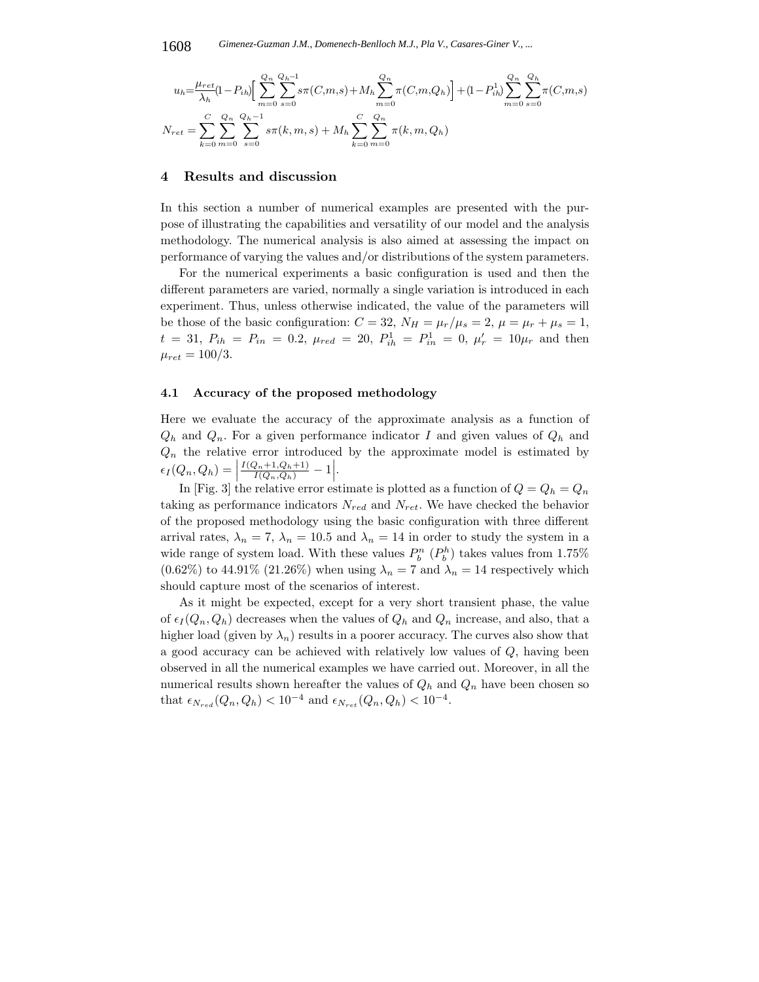$$
u_h = \frac{\mu_{ret}}{\lambda_h} (1 - P_{ih}) \left[ \sum_{m=0}^{Q_n} \sum_{s=0}^{Q_h - 1} s \pi(C, m, s) + M_h \sum_{m=0}^{Q_n} \pi(C, m, Q_h) \right] + (1 - P_{ih}^1) \sum_{m=0}^{Q_n} \sum_{s=0}^{Q_h} \pi(C, m, s)
$$
  

$$
N_{ret} = \sum_{k=0}^{C} \sum_{m=0}^{Q_n} \sum_{s=0}^{Q_h - 1} s \pi(k, m, s) + M_h \sum_{k=0}^{C} \sum_{m=0}^{Q_n} \pi(k, m, Q_h)
$$

#### **4 Results and discussion**

In this section a number of numerical examples are presented with the purpose of illustrating the capabilities and versatility of our model and the analysis methodology. The numerical analysis is also aimed at assessing the impact on performance of varying the values and/or distributions of the system parameters.

For the numerical experiments a basic configuration is used and then the different parameters are varied, normally a single variation is introduced in each experiment. Thus, unless otherwise indicated, the value of the parameters will be those of the basic configuration:  $C = 32$ ,  $N_H = \mu_r/\mu_s = 2$ ,  $\mu = \mu_r + \mu_s = 1$ ,  $t = 31, P_{ih} = P_{in} = 0.2, \mu_{red} = 20, P_{ih}^1 = P_{in}^1 = 0, \mu'_r = 10\mu_r$  and then  $\mu_{ret} = 100/3.$ 

#### **4.1 Accuracy of the proposed methodology**

Here we evaluate the accuracy of the approximate analysis as a function of  $Q_h$  and  $Q_n$ . For a given performance indicator I and given values of  $Q_h$  and  $Q_n$  the relative error introduced by the approximate model is estimated by  $\epsilon_I(Q_n,Q_h) =$  $\frac{I(Q_n+1,Q_h+1)}{I(Q_n,Q_h)}-1\Big|.$ 

In [Fig. 3] the relative error estimate is plotted as a function of  $Q = Q_h = Q_n$ taking as performance indicators  $N_{red}$  and  $N_{ret}$ . We have checked the behavior of the proposed methodology using the basic configuration with three different arrival rates,  $\lambda_n = 7$ ,  $\lambda_n = 10.5$  and  $\lambda_n = 14$  in order to study the system in a wide range of system load. With these values  $P_h^n(P_h^h)$  takes values from 1.75%  $(0.62\%)$  to 44.91% (21.26%) when using  $\lambda_n = 7$  and  $\lambda_n = 14$  respectively which should capture most of the scenarios of interest.

As it might be expected, except for a very short transient phase, the value of  $\epsilon_I(Q_n, Q_h)$  decreases when the values of  $Q_h$  and  $Q_n$  increase, and also, that a higher load (given by  $\lambda_n$ ) results in a poorer accuracy. The curves also show that a good accuracy can be achieved with relatively low values of  $Q$ , having been observed in all the numerical examples we have carried out. Moreover, in all the numerical results shown hereafter the values of  $Q_h$  and  $Q_n$  have been chosen so that  $\epsilon_{N_{red}}(Q_n, Q_h) < 10^{-4}$  and  $\epsilon_{N_{ret}}(Q_n, Q_h) < 10^{-4}$ .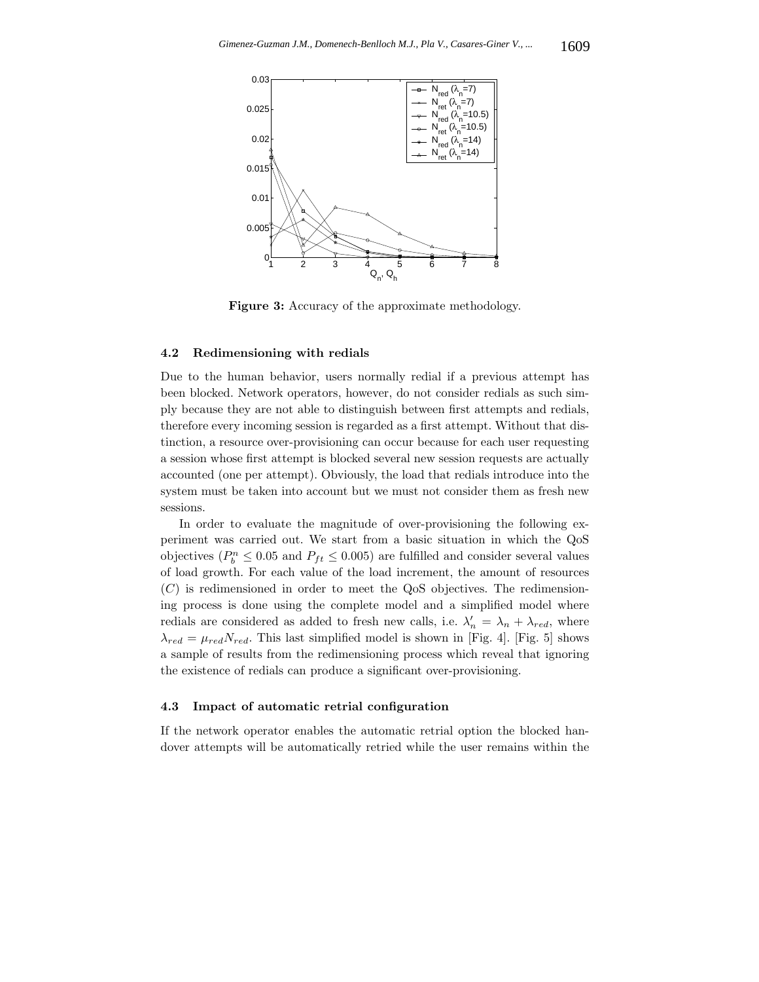

**Figure 3:** Accuracy of the approximate methodology.

#### **4.2 Redimensioning with redials**

Due to the human behavior, users normally redial if a previous attempt has been blocked. Network operators, however, do not consider redials as such simply because they are not able to distinguish between first attempts and redials, therefore every incoming session is regarded as a first attempt. Without that distinction, a resource over-provisioning can occur because for each user requesting a session whose first attempt is blocked several new session requests are actually accounted (one per attempt). Obviously, the load that redials introduce into the system must be taken into account but we must not consider them as fresh new sessions.

In order to evaluate the magnitude of over-provisioning the following experiment was carried out. We start from a basic situation in which the QoS objectives  $(P_b^n \leq 0.05$  and  $P_{ft} \leq 0.005)$  are fulfilled and consider several values of load growth. For each value of the load increment, the amount of resources  $(C)$  is redimensioned in order to meet the QoS objectives. The redimensioning process is done using the complete model and a simplified model where redials are considered as added to fresh new calls, i.e.  $\lambda'_n = \lambda_n + \lambda_{red}$ , where  $\lambda_{red} = \mu_{red} N_{red}$ . This last simplified model is shown in [Fig. 4]. [Fig. 5] shows a sample of results from the redimensioning process which reveal that ignoring the existence of redials can produce a significant over-provisioning.

#### **4.3 Impact of automatic retrial configuration**

If the network operator enables the automatic retrial option the blocked handover attempts will be automatically retried while the user remains within the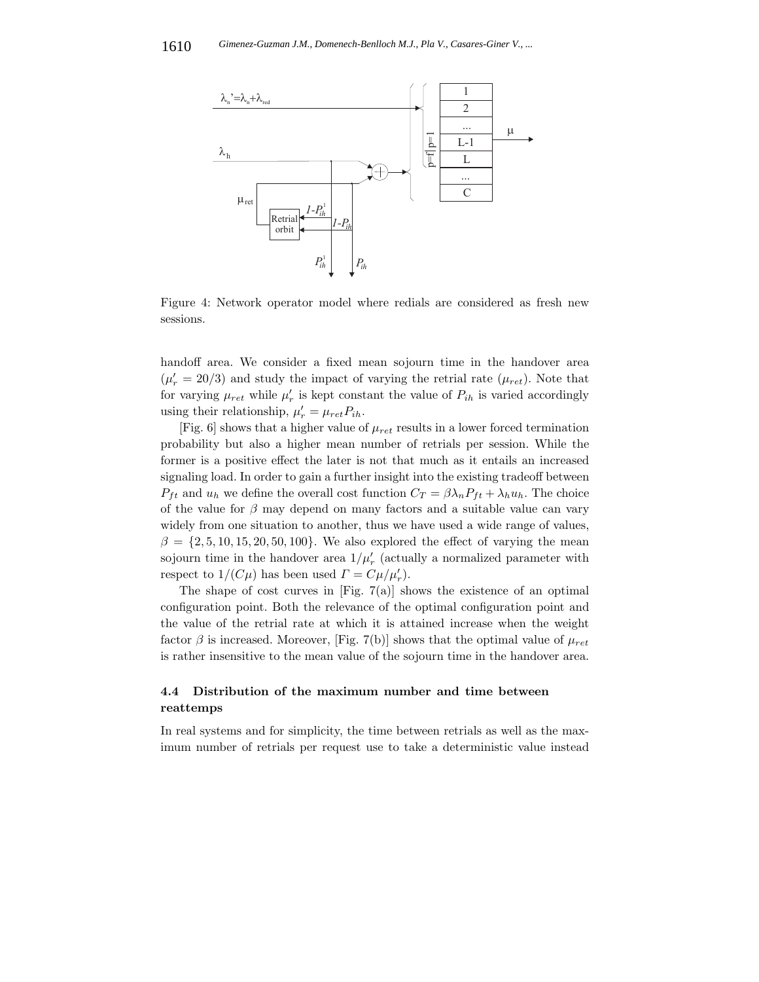

Figure 4: Network operator model where redials are considered as fresh new sessions.

handoff area. We consider a fixed mean sojourn time in the handover area  $(\mu'_r = 20/3)$  and study the impact of varying the retrial rate  $(\mu_{ret})$ . Note that for varying  $\mu_{ret}$  while  $\mu'_{r}$  is kept constant the value of  $P_{ih}$  is varied accordingly using their relationship,  $\mu'_{r} = \mu_{ret} P_{ih}$ .

[Fig. 6] shows that a higher value of  $\mu_{ret}$  results in a lower forced termination probability but also a higher mean number of retrials per session. While the former is a positive effect the later is not that much as it entails an increased signaling load. In order to gain a further insight into the existing tradeoff between  $P_{ft}$  and  $u_h$  we define the overall cost function  $C_T = \beta \lambda_n P_{ft} + \lambda_h u_h$ . The choice of the value for  $\beta$  may depend on many factors and a suitable value can vary widely from one situation to another, thus we have used a wide range of values,  $\beta = \{2, 5, 10, 15, 20, 50, 100\}$ . We also explored the effect of varying the mean sojourn time in the handover area  $1/\mu'_r$  (actually a normalized parameter with respect to  $1/(C\mu)$  has been used  $\Gamma = C\mu/\mu'_r$ .

The shape of cost curves in [Fig.  $7(a)$ ] shows the existence of an optimal configuration point. Both the relevance of the optimal configuration point and the value of the retrial rate at which it is attained increase when the weight factor  $\beta$  is increased. Moreover, [Fig. 7(b)] shows that the optimal value of  $\mu_{ret}$ is rather insensitive to the mean value of the sojourn time in the handover area.

## **4.4 Distribution of the maximum number and time between reattemps**

In real systems and for simplicity, the time between retrials as well as the maximum number of retrials per request use to take a deterministic value instead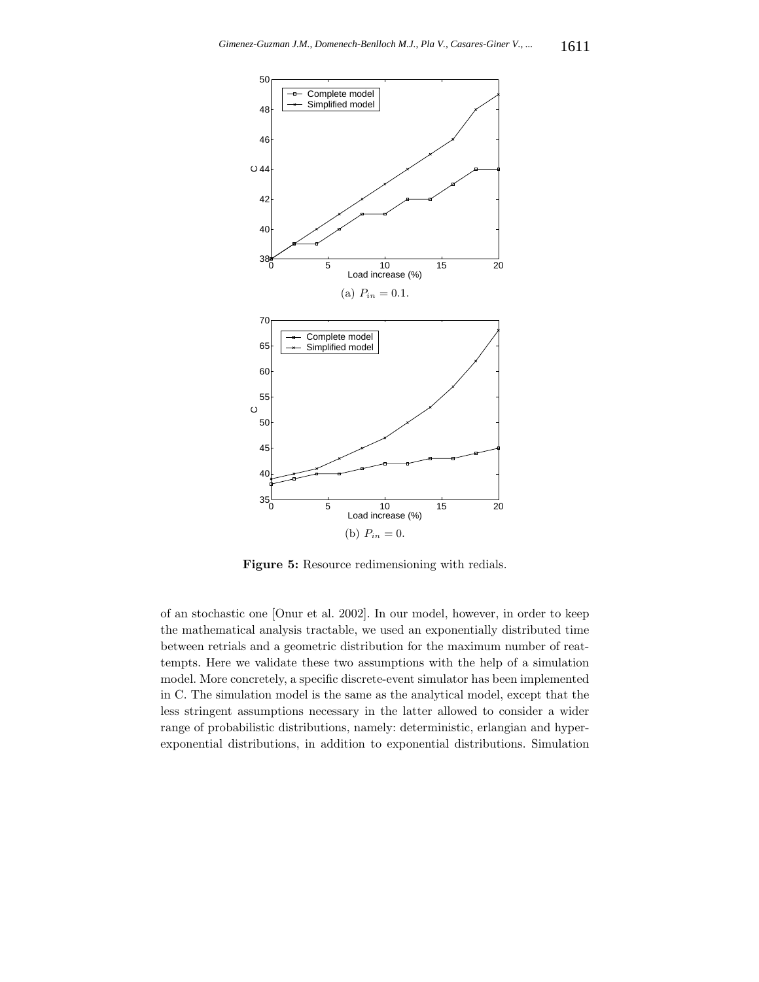

**Figure 5:** Resource redimensioning with redials.

of an stochastic one [Onur et al. 2002]. In our model, however, in order to keep the mathematical analysis tractable, we used an exponentially distributed time between retrials and a geometric distribution for the maximum number of reattempts. Here we validate these two assumptions with the help of a simulation model. More concretely, a specific discrete-event simulator has been implemented in C. The simulation model is the same as the analytical model, except that the less stringent assumptions necessary in the latter allowed to consider a wider range of probabilistic distributions, namely: deterministic, erlangian and hyperexponential distributions, in addition to exponential distributions. Simulation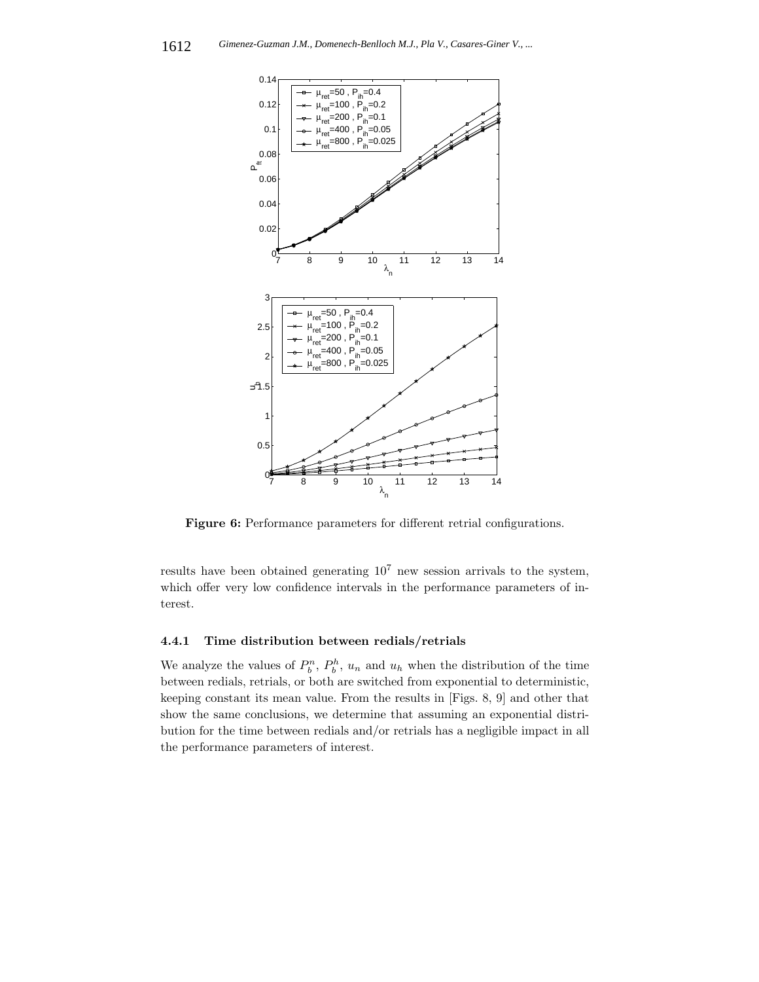

**Figure 6:** Performance parameters for different retrial configurations.

results have been obtained generating  $10<sup>7</sup>$  new session arrivals to the system, which offer very low confidence intervals in the performance parameters of interest.

## **4.4.1 Time distribution between redials/retrials**

We analyze the values of  $P_h^n$ ,  $P_h^h$ ,  $u_n$  and  $u_h$  when the distribution of the time between redials, retrials, or both are switched from exponential to deterministic, keeping constant its mean value. From the results in [Figs. 8, 9] and other that show the same conclusions, we determine that assuming an exponential distribution for the time between redials and/or retrials has a negligible impact in all the performance parameters of interest.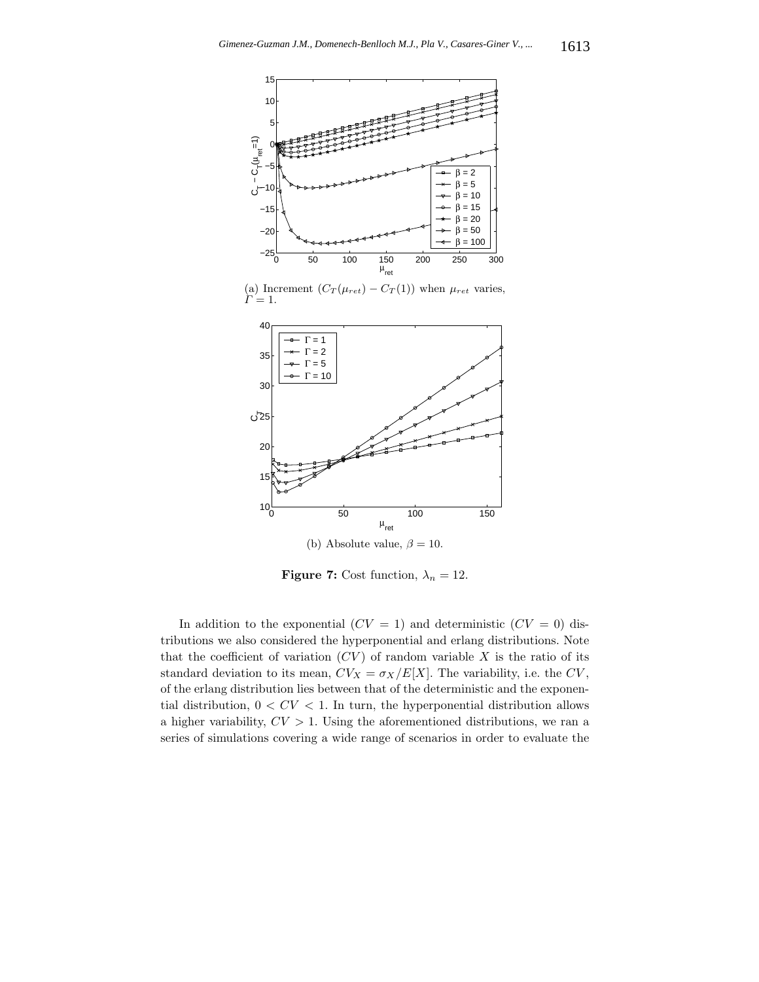

(a) Increment  $(C_T(\mu_{ret}) - C_T(1))$  when  $\mu_{ret}$  varies,  $\Gamma = 1$ .



**Figure 7:** Cost function,  $\lambda_n = 12$ .

In addition to the exponential  $(CV = 1)$  and deterministic  $(CV = 0)$  distributions we also considered the hyperponential and erlang distributions. Note that the coefficient of variation  $(CV)$  of random variable X is the ratio of its standard deviation to its mean,  $CV_X = \sigma_X/E[X]$ . The variability, i.e. the CV, of the erlang distribution lies between that of the deterministic and the exponential distribution,  $0 < CV < 1$ . In turn, the hyperponential distribution allows a higher variability,  $CV > 1$ . Using the aforementioned distributions, we ran a series of simulations covering a wide range of scenarios in order to evaluate the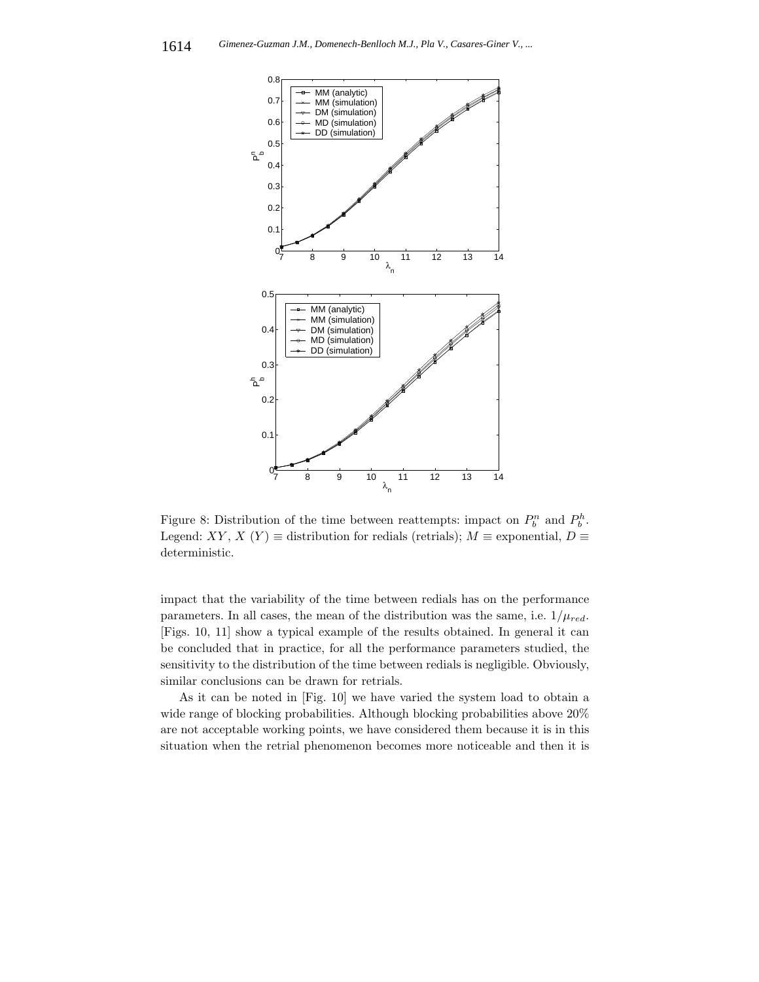

Figure 8: Distribution of the time between reattempts: impact on  $P_b^n$  and  $P_b^h$ . Legend: XY, X (Y)  $\equiv$  distribution for redials (retrials);  $M \equiv$  exponential,  $D \equiv$ deterministic.

impact that the variability of the time between redials has on the performance parameters. In all cases, the mean of the distribution was the same, i.e.  $1/\mu_{red}$ . [Figs. 10, 11] show a typical example of the results obtained. In general it can be concluded that in practice, for all the performance parameters studied, the sensitivity to the distribution of the time between redials is negligible. Obviously, similar conclusions can be drawn for retrials.

As it can be noted in [Fig. 10] we have varied the system load to obtain a wide range of blocking probabilities. Although blocking probabilities above 20% are not acceptable working points, we have considered them because it is in this situation when the retrial phenomenon becomes more noticeable and then it is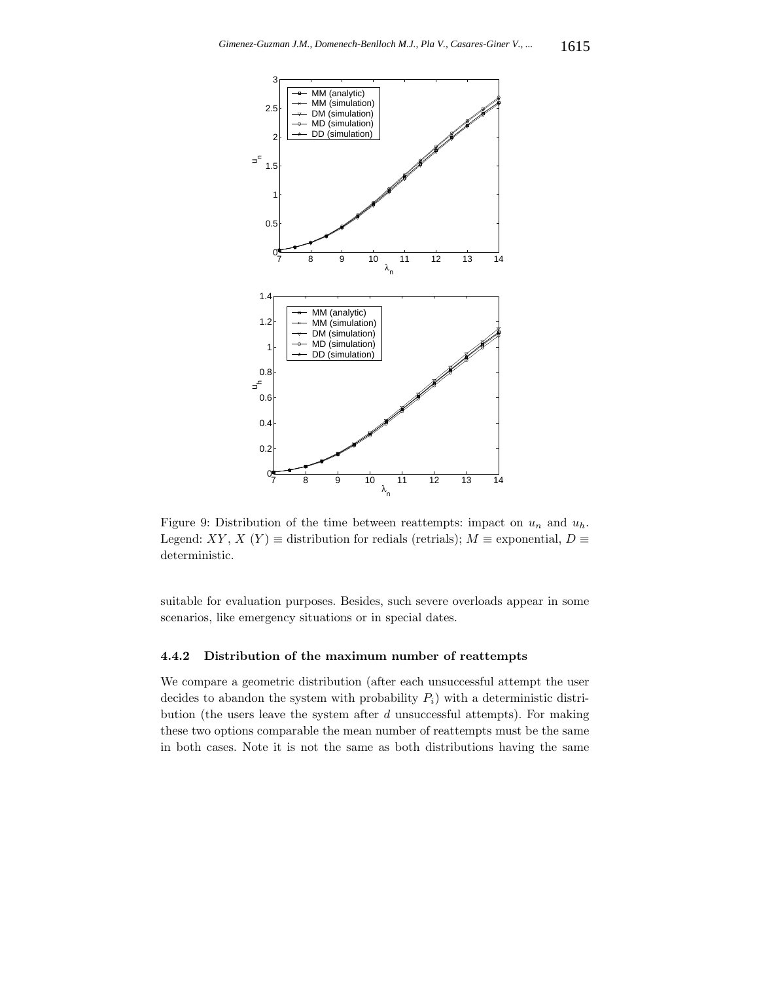

Figure 9: Distribution of the time between reattempts: impact on  $u_n$  and  $u_h$ . Legend: XY, X (Y)  $\equiv$  distribution for redials (retrials);  $M \equiv$  exponential,  $D \equiv$ deterministic.

suitable for evaluation purposes. Besides, such severe overloads appear in some scenarios, like emergency situations or in special dates.

## **4.4.2 Distribution of the maximum number of reattempts**

We compare a geometric distribution (after each unsuccessful attempt the user decides to abandon the system with probability  $P_i$ ) with a deterministic distribution (the users leave the system after  $d$  unsuccessful attempts). For making these two options comparable the mean number of reattempts must be the same in both cases. Note it is not the same as both distributions having the same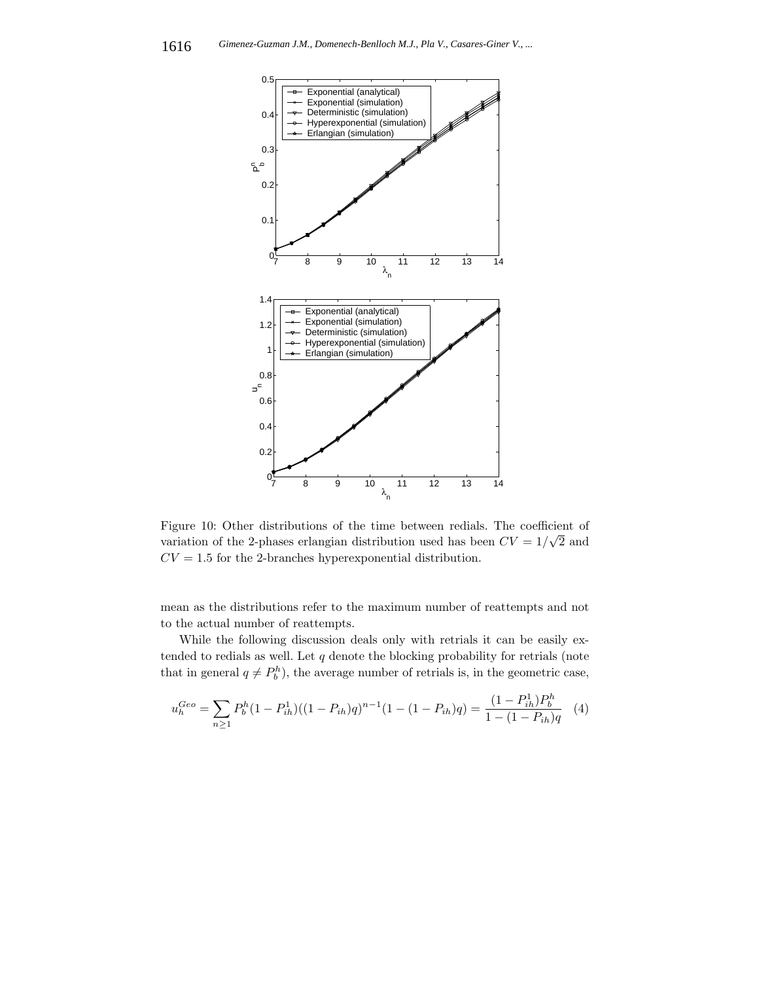

Figure 10: Other distributions of the time between redials. The coefficient of variation of the 2-phases erlangian distribution used has been  $CV = 1/\sqrt{2}$  and  $CV = 1.5$  for the 2-branches hyperexponential distribution.

mean as the distributions refer to the maximum number of reattempts and not to the actual number of reattempts.

While the following discussion deals only with retrials it can be easily extended to redials as well. Let  $q$  denote the blocking probability for retrials (note that in general  $q \neq P_h^h$ , the average number of retrials is, in the geometric case,

$$
u_h^{Geo} = \sum_{n\geq 1} P_b^h (1 - P_{ih}^1)((1 - P_{ih})q)^{n-1} (1 - (1 - P_{ih})q) = \frac{(1 - P_{ih}^1)P_b^h}{1 - (1 - P_{ih})q} \tag{4}
$$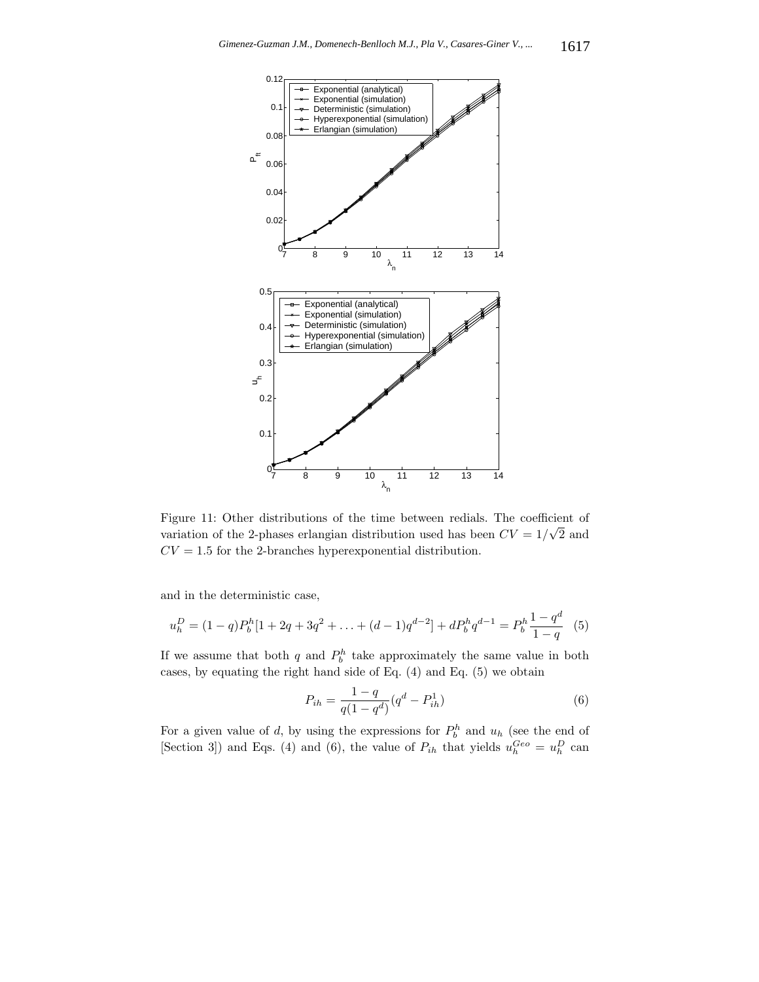

Figure 11: Other distributions of the time between redials. The coefficient of right in Other distributions of the time between rediais. The coefficient of variation of the 2-phases erlangian distribution used has been  $CV = 1/\sqrt{2}$  and  $CV = 1.5$  for the 2-branches hyperexponential distribution.

and in the deterministic case,

$$
u_h^D = (1-q)P_b^h[1+2q+3q^2+\ldots+(d-1)q^{d-2}] + dP_b^h q^{d-1} = P_b^h \frac{1-q^d}{1-q}
$$
(5)

If we assume that both q and  $P_b^h$  take approximately the same value in both cases, by equating the right hand side of Eq. (4) and Eq. (5) we obtain

$$
P_{ih} = \frac{1 - q}{q(1 - q^d)}(q^d - P_{ih}^1)
$$
\n(6)

For a given value of d, by using the expressions for  $P_h^h$  and  $u_h$  (see the end of [Section 3]) and Eqs. (4) and (6), the value of  $P_{ih}$  that yields  $u_h^{Geo} = u_h^D$  can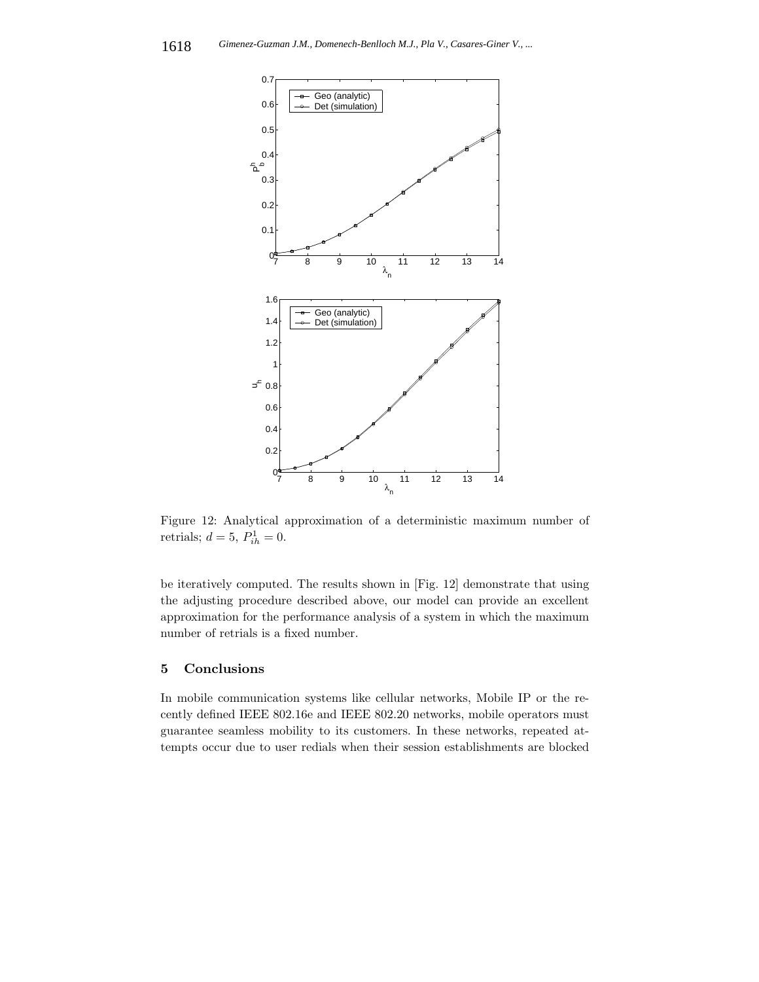

Figure 12: Analytical approximation of a deterministic maximum number of retrials;  $d = 5$ ,  $P_{ih}^1 = 0$ .

be iteratively computed. The results shown in [Fig. 12] demonstrate that using the adjusting procedure described above, our model can provide an excellent approximation for the performance analysis of a system in which the maximum number of retrials is a fixed number.

## **5 Conclusions**

In mobile communication systems like cellular networks, Mobile IP or the recently defined IEEE 802.16e and IEEE 802.20 networks, mobile operators must guarantee seamless mobility to its customers. In these networks, repeated attempts occur due to user redials when their session establishments are blocked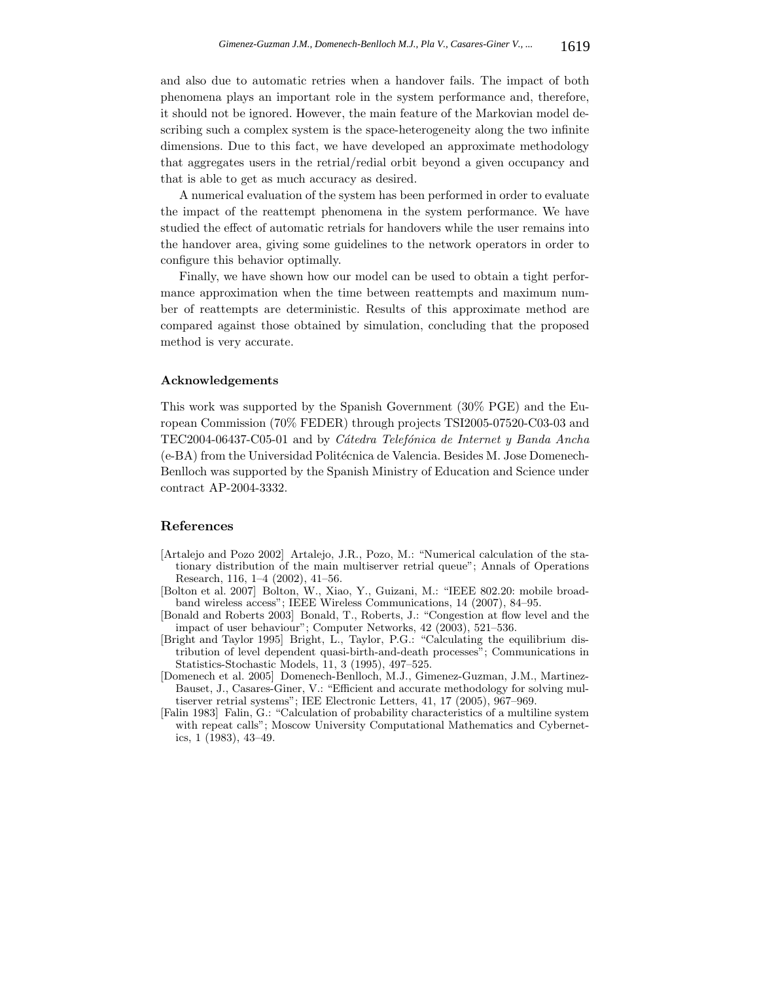and also due to automatic retries when a handover fails. The impact of both phenomena plays an important role in the system performance and, therefore, it should not be ignored. However, the main feature of the Markovian model describing such a complex system is the space-heterogeneity along the two infinite dimensions. Due to this fact, we have developed an approximate methodology that aggregates users in the retrial/redial orbit beyond a given occupancy and that is able to get as much accuracy as desired.

A numerical evaluation of the system has been performed in order to evaluate the impact of the reattempt phenomena in the system performance. We have studied the effect of automatic retrials for handovers while the user remains into the handover area, giving some guidelines to the network operators in order to configure this behavior optimally.

Finally, we have shown how our model can be used to obtain a tight performance approximation when the time between reattempts and maximum number of reattempts are deterministic. Results of this approximate method are compared against those obtained by simulation, concluding that the proposed method is very accurate.

#### **Acknowledgements**

This work was supported by the Spanish Government (30% PGE) and the European Commission (70% FEDER) through projects TSI2005-07520-C03-03 and TEC2004-06437-C05-01 and by *C´atedra Telef´onica de Internet y Banda Ancha* (e-BA) from the Universidad Politécnica de Valencia. Besides M. Jose Domenech-Benlloch was supported by the Spanish Ministry of Education and Science under contract AP-2004-3332.

#### **References**

- [Artalejo and Pozo 2002] Artalejo, J.R., Pozo, M.: "Numerical calculation of the stationary distribution of the main multiserver retrial queue"; Annals of Operations Research, 116, 1–4 (2002), 41–56.
- [Bolton et al. 2007] Bolton, W., Xiao, Y., Guizani, M.: "IEEE 802.20: mobile broadband wireless access"; IEEE Wireless Communications, 14 (2007), 84–95.
- [Bonald and Roberts 2003] Bonald, T., Roberts, J.: "Congestion at flow level and the impact of user behaviour"; Computer Networks, 42 (2003), 521–536.
- [Bright and Taylor 1995] Bright, L., Taylor, P.G.: "Calculating the equilibrium distribution of level dependent quasi-birth-and-death processes"; Communications in Statistics-Stochastic Models, 11, 3 (1995), 497–525.
- [Domenech et al. 2005] Domenech-Benlloch, M.J., Gimenez-Guzman, J.M., Martinez-Bauset, J., Casares-Giner, V.: "Efficient and accurate methodology for solving multiserver retrial systems"; IEE Electronic Letters, 41, 17 (2005), 967–969.
- [Falin 1983] Falin, G.: "Calculation of probability characteristics of a multiline system with repeat calls"; Moscow University Computational Mathematics and Cybernetics, 1 (1983), 43–49.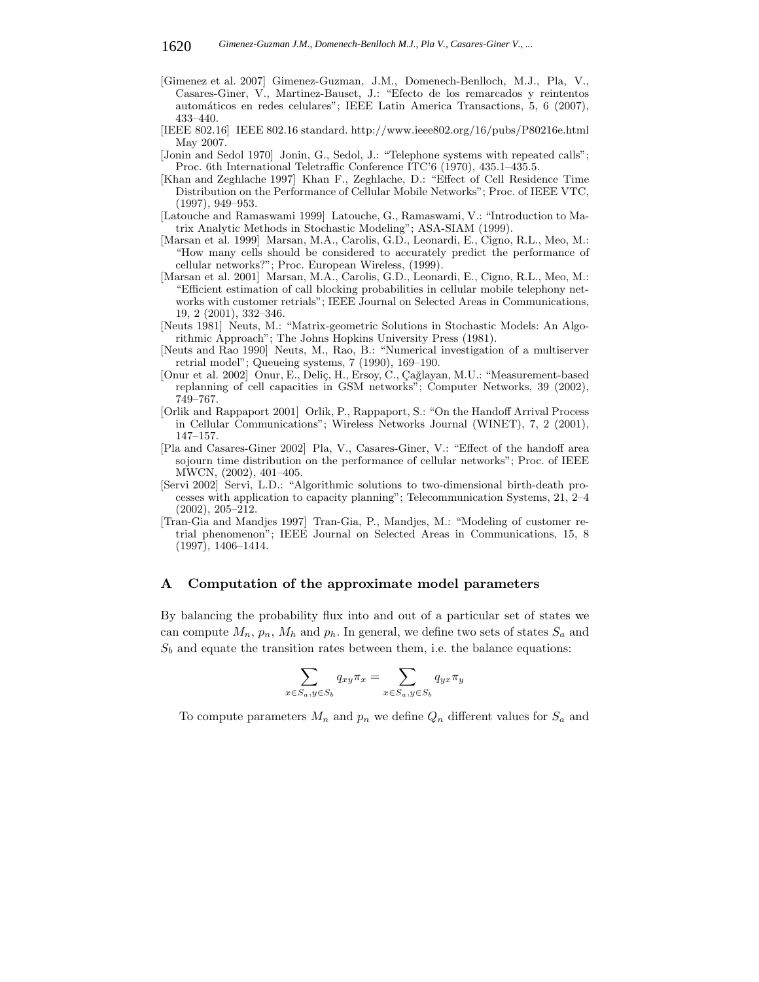- [Gimenez et al. 2007] Gimenez-Guzman, J.M., Domenech-Benlloch, M.J., Pla, V., Casares-Giner, V., Martinez-Bauset, J.: "Efecto de los remarcados y reintentos autom´aticos en redes celulares"; IEEE Latin America Transactions, 5, 6 (2007), 433–440.
- [IEEE 802.16] IEEE 802.16 standard. http://www.ieee802.org/16/pubs/P80216e.html May 2007.
- [Jonin and Sedol 1970] Jonin, G., Sedol, J.: "Telephone systems with repeated calls"; Proc. 6th International Teletraffic Conference ITC'6 (1970), 435.1–435.5.
- [Khan and Zeghlache 1997] Khan F., Zeghlache, D.: "Effect of Cell Residence Time Distribution on the Performance of Cellular Mobile Networks"; Proc. of IEEE VTC, (1997), 949–953.
- [Latouche and Ramaswami 1999] Latouche, G., Ramaswami, V.: "Introduction to Matrix Analytic Methods in Stochastic Modeling"; ASA-SIAM (1999).
- [Marsan et al. 1999] Marsan, M.A., Carolis, G.D., Leonardi, E., Cigno, R.L., Meo, M.: "How many cells should be considered to accurately predict the performance of cellular networks?"; Proc. European Wireless, (1999).
- [Marsan et al. 2001] Marsan, M.A., Carolis, G.D., Leonardi, E., Cigno, R.L., Meo, M.: "Efficient estimation of call blocking probabilities in cellular mobile telephony networks with customer retrials"; IEEE Journal on Selected Areas in Communications, 19, 2 (2001), 332–346.
- [Neuts 1981] Neuts, M.: "Matrix-geometric Solutions in Stochastic Models: An Algorithmic Approach"; The Johns Hopkins University Press (1981).
- [Neuts and Rao 1990] Neuts, M., Rao, B.: "Numerical investigation of a multiserver retrial model"; Queueing systems, 7 (1990), 169–190.
- [Onur et al. 2002] Onur, E., Deliç, H., Ersoy, C., Çağlayan, M.U.: "Measurement-based replanning of cell capacities in GSM networks"; Computer Networks, 39 (2002), 749–767.
- [Orlik and Rappaport 2001] Orlik, P., Rappaport, S.: "On the Handoff Arrival Process in Cellular Communications"; Wireless Networks Journal (WINET), 7, 2 (2001), 147–157.
- [Pla and Casares-Giner 2002] Pla, V., Casares-Giner, V.: "Effect of the handoff area sojourn time distribution on the performance of cellular networks"; Proc. of IEEE MWCN, (2002), 401–405.
- [Servi 2002] Servi, L.D.: "Algorithmic solutions to two-dimensional birth-death processes with application to capacity planning"; Telecommunication Systems, 21, 2–4 (2002), 205–212.
- [Tran-Gia and Mandjes 1997] Tran-Gia, P., Mandjes, M.: "Modeling of customer retrial phenomenon"; IEEE Journal on Selected Areas in Communications, 15, 8 (1997), 1406–1414.

#### **A Computation of the approximate model parameters**

By balancing the probability flux into and out of a particular set of states we can compute  $M_n$ ,  $p_n$ ,  $M_h$  and  $p_h$ . In general, we define two sets of states  $S_a$  and  $S_b$  and equate the transition rates between them, i.e. the balance equations:

$$
\sum_{x \in S_a, y \in S_b} q_{xy} \pi_x = \sum_{x \in S_a, y \in S_b} q_{yx} \pi_y
$$

To compute parameters  $M_n$  and  $p_n$  we define  $Q_n$  different values for  $S_a$  and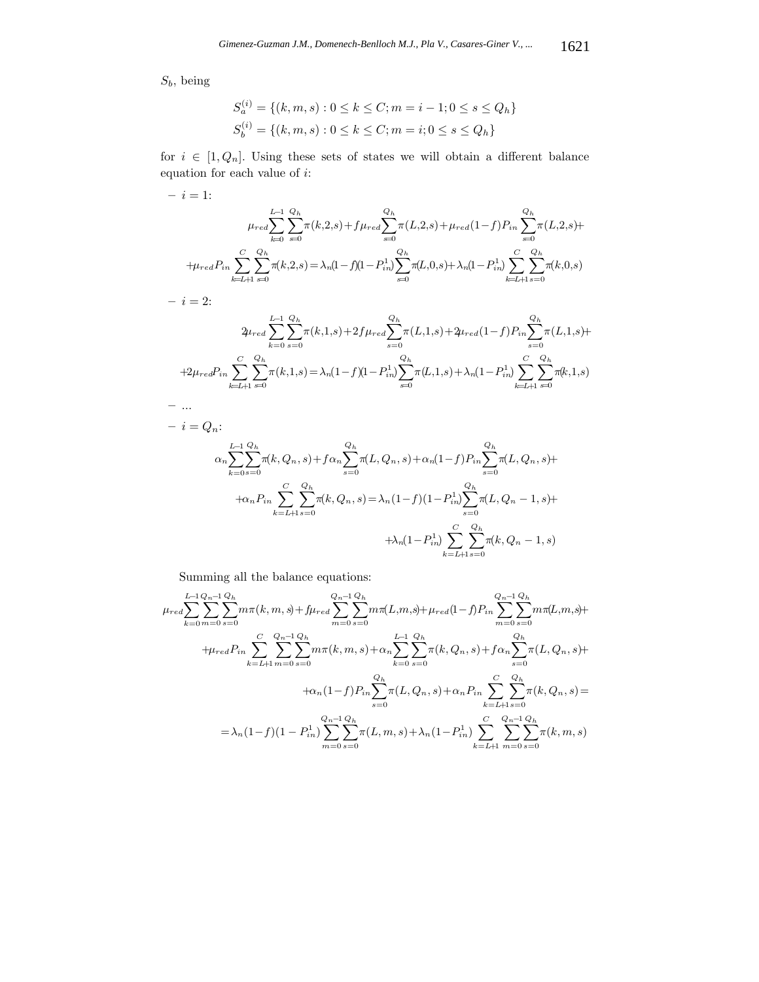$S_b$ , being

$$
S_a^{(i)} = \{(k, m, s) : 0 \le k \le C; m = i - 1; 0 \le s \le Q_h\}
$$
  

$$
S_b^{(i)} = \{(k, m, s) : 0 \le k \le C; m = i; 0 \le s \le Q_h\}
$$

for  $i \in [1, Q_n]$ . Using these sets of states we will obtain a different balance equation for each value of  $i\colon$ 

$$
-i=1:
$$

$$
\mu_{red} \sum_{k=0}^{L-1} \sum_{s=0}^{Q_h} \pi(k,2,s) + f \mu_{red} \sum_{s=0}^{Q_h} \pi(L,2,s) + \mu_{red} (1-f) P_{in} \sum_{s=0}^{Q_h} \pi(L,2,s) +
$$
  
+
$$
\mu_{red} P_{in} \sum_{k=L+1}^{C} \sum_{s=0}^{Q_h} \pi(k,2,s) = \lambda_n (1-f)(1-P_{in}^1) \sum_{s=0}^{Q_h} \pi(L,0,s) + \lambda_n (1-P_{in}^1) \sum_{k=L+1}^{C} \sum_{s=0}^{Q_h} \pi(k,0,s)
$$

 $- i = 2:$ 

**–** ...

$$
2\mu_{red} \sum_{k=0}^{L-1} \sum_{s=0}^{Q_h} \pi(k,1,s) + 2f\mu_{red} \sum_{s=0}^{Q_h} \pi(L,1,s) + 2\mu_{red}(1-f) P_{in} \sum_{s=0}^{Q_h} \pi(L,1,s) +
$$
  
+2\mu\_{red} P\_{in} \sum\_{k=L+1}^{C} \sum\_{s=0}^{Q\_h} \pi(k,1,s) = \lambda\_n (1-f)(1-P\_{in}^1) \sum\_{s=0}^{Q\_h} \pi(L,1,s) + \lambda\_n (1-P\_{in}^1) \sum\_{k=L+1}^{C} \sum\_{s=0}^{Q\_h} \pi(k,1,s)

$$
- i = Q_n:
$$
  
\n
$$
\alpha_n \sum_{k=0}^{L-1} \sum_{s=0}^{Q_h} \pi(k, Q_n, s) + f \alpha_n \sum_{s=0}^{Q_h} \pi(L, Q_n, s) + \alpha_n (1-f) P_{in} \sum_{s=0}^{Q_h} \pi(L, Q_n, s) +
$$
  
\n
$$
+ \alpha_n P_{in} \sum_{k=L+1}^{C} \sum_{s=0}^{Q_h} \pi(k, Q_n, s) = \lambda_n (1-f) (1-P_{in}^1) \sum_{s=0}^{Q_h} \pi(L, Q_n - 1, s) +
$$
  
\n
$$
+ \lambda_n (1-P_{in}^1) \sum_{k=L+1}^{C} \sum_{s=0}^{Q_h} \pi(k, Q_n - 1, s)
$$

Summing all the balance equations:

$$
\mu_{red} \sum_{k=0}^{L-1} \sum_{m=0}^{Q_h-1} \sum_{s=0}^{Q_h} m \pi(k, m, s) + f \mu_{red} \sum_{m=0}^{Q_h-1} \sum_{s=0}^{Q_h} m \pi(L, m, s) + \mu_{red} (1 - f) P_{in} \sum_{m=0}^{Q_h-1} \sum_{s=0}^{Q_h} m \pi(L, m, s) +
$$
  
+ 
$$
\mu_{red} P_{in} \sum_{k=L+1}^{C} \sum_{m=0}^{Q_h-1} \sum_{s=0}^{Q_h} m \pi(k, m, s) + \alpha_n \sum_{k=0}^{L-1} \sum_{s=0}^{Q_h} \pi(k, Q_n, s) + f \alpha_n \sum_{s=0}^{Q_h} \pi(L, Q_n, s) +
$$
  
+ 
$$
\alpha_n (1 - f) P_{in} \sum_{s=0}^{Q_h} \pi(L, Q_n, s) + \alpha_n P_{in} \sum_{k=L+1}^{C} \sum_{s=0}^{Q_h} \pi(k, Q_n, s) =
$$
  
= 
$$
\lambda_n (1 - f) (1 - P_{in}^1) \sum_{m=0}^{Q_h-1} \sum_{s=0}^{Q_h} \pi(L, m, s) + \lambda_n (1 - P_{in}^1) \sum_{k=L+1}^{C} \sum_{m=0}^{Q_h-1} \sum_{s=0}^{Q_h} \pi(k, m, s)
$$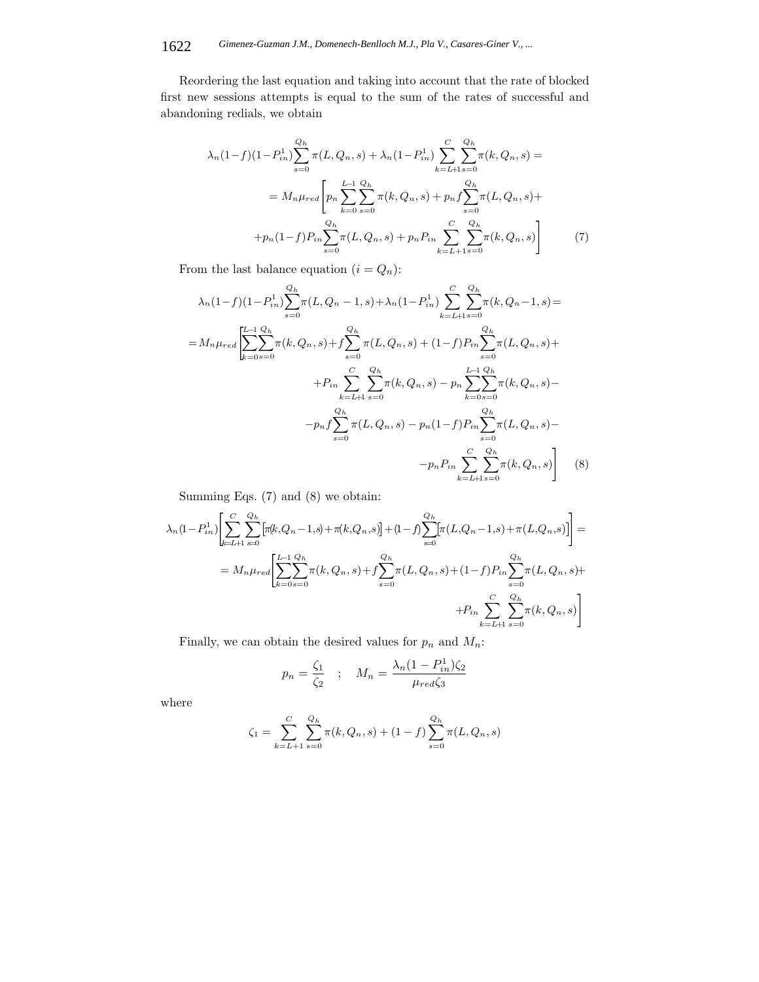Reordering the last equation and taking into account that the rate of blocked first new sessions attempts is equal to the sum of the rates of successful and abandoning redials, we obtain

$$
\lambda_n(1-f)(1-P_{in}^1)\sum_{s=0}^{Q_h}\pi(L,Q_n,s) + \lambda_n(1-P_{in}^1)\sum_{k=L+1}^{C}\sum_{s=0}^{Q_h}\pi(k,Q_n,s) =
$$
  

$$
= M_n\mu_{red}\left[p_n\sum_{k=0}^{L-1}\sum_{s=0}^{Q_h}\pi(k,Q_n,s) + p_nf\sum_{s=0}^{Q_h}\pi(L,Q_n,s) +
$$
  

$$
+p_n(1-f)P_{in}\sum_{s=0}^{Q_h}\pi(L,Q_n,s) + p_nP_{in}\sum_{k=L+1}^{C}\sum_{s=0}^{Q_h}\pi(k,Q_n,s)\right]
$$
(7)

From the last balance equation  $(i = Q_n)$ :

$$
\lambda_n(1-f)(1-P_{in}^1)\sum_{s=0}^{Q_h}\pi(L,Q_n-1,s)+\lambda_n(1-P_{in}^1)\sum_{k=L+1}^{C}\sum_{s=0}^{Q_h}\pi(k,Q_n-1,s)=
$$
  
\n
$$
=M_n\mu_{red}\left[\sum_{k=0}^{L-1}\sum_{s=0}^{Q_h}\pi(k,Q_n,s)+f\sum_{s=0}^{Q_h}\pi(L,Q_n,s)+(1-f)P_{in}\sum_{s=0}^{Q_h}\pi(L,Q_n,s)+
$$
  
\n
$$
+P_{in}\sum_{k=L+1}^{C}\sum_{s=0}^{Q_h}\pi(k,Q_n,s)-p_n\sum_{k=0}^{L-1}\sum_{s=0}^{Q_h}\pi(k,Q_n,s)-
$$
  
\n
$$
-p_nf\sum_{s=0}^{Q_h}\pi(L,Q_n,s)-p_n(1-f)P_{in}\sum_{s=0}^{Q_h}\pi(L,Q_n,s)-
$$
  
\n
$$
-p_nP_{in}\sum_{k=L+1}^{C}\sum_{s=0}^{Q_h}\pi(k,Q_n,s)\right]
$$
 (8)

Summing Eqs. (7) and (8) we obtain:

$$
\lambda_n (1 - P_{in}^1) \left[ \sum_{k=L+1}^C \sum_{s=0}^{Q_h} \left[ \pi(k, Q_n - 1, s) + \pi(k, Q_n, s) \right] + (1 - f) \sum_{s=0}^{Q_h} \left[ \pi(L, Q_n - 1, s) + \pi(L, Q_n, s) \right] \right] =
$$
\n
$$
= M_n \mu_{red} \left[ \sum_{k=0}^{L-1} \sum_{s=0}^{Q_h} \pi(k, Q_n, s) + f \sum_{s=0}^{Q_h} \pi(L, Q_n, s) + (1 - f) P_{in} \sum_{s=0}^{Q_h} \pi(L, Q_n, s) + P_{in} \sum_{k=L+1}^C \sum_{s=0}^{Q_h} \pi(k, Q_n, s) \right]
$$

Finally, we can obtain the desired values for  $p_n$  and  $\mathcal{M}_n$  :

$$
p_n = \frac{\zeta_1}{\zeta_2} \quad ; \quad M_n = \frac{\lambda_n(1-P_{in}^1)\zeta_2}{\mu_{red}\zeta_3}
$$

where

$$
\zeta_1 = \sum_{k=L+1}^{C} \sum_{s=0}^{Q_h} \pi(k, Q_n, s) + (1 - f) \sum_{s=0}^{Q_h} \pi(L, Q_n, s)
$$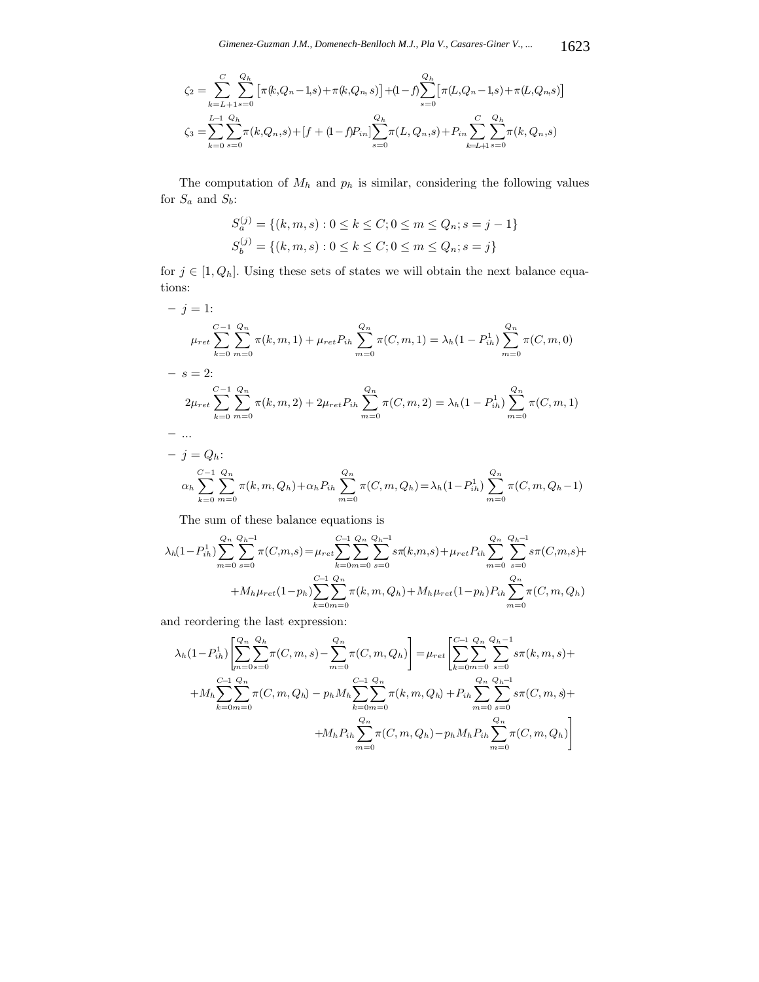$$
\zeta_2 = \sum_{k=L+1}^{C} \sum_{s=0}^{Q_h} \left[ \pi(k, Q_n - 1, s) + \pi(k, Q_n, s) \right] + (1 - f) \sum_{s=0}^{Q_h} \left[ \pi(L, Q_n - 1, s) + \pi(L, Q_n, s) \right]
$$
  

$$
\zeta_3 = \sum_{k=0}^{L-1} \sum_{s=0}^{Q_h} \pi(k, Q_n, s) + [f + (1 - f)P_{in}] \sum_{s=0}^{Q_h} \pi(L, Q_n, s) + P_{in} \sum_{k=L+1}^{C} \sum_{s=0}^{Q_h} \pi(k, Q_n, s)
$$

The computation of  $M_h$  and  $p_h$  is similar, considering the following values for  $S_a$  and  $S_b$  :

$$
S_a^{(j)} = \{(k, m, s) : 0 \le k \le C; 0 \le m \le Q_n; s = j - 1\}
$$
  

$$
S_b^{(j)} = \{(k, m, s) : 0 \le k \le C; 0 \le m \le Q_n; s = j\}
$$

for  $j \in [1, Q_h]$ . Using these sets of states we will obtain the next balance equations:

$$
- j = 1:
$$
\n
$$
\mu_{ret} \sum_{k=0}^{C-1} \sum_{m=0}^{Q_n} \pi(k, m, 1) + \mu_{ret} P_{ih} \sum_{m=0}^{Q_n} \pi(C, m, 1) = \lambda_h (1 - P_{ih}^1) \sum_{m=0}^{Q_n} \pi(C, m, 0)
$$
\n
$$
- s = 2:
$$
\n
$$
2\mu_{ret} \sum_{k=0}^{C-1} \sum_{m=0}^{Q_n} \pi(k, m, 2) + 2\mu_{ret} P_{ih} \sum_{m=0}^{Q_n} \pi(C, m, 2) = \lambda_h (1 - P_{ih}^1) \sum_{m=0}^{Q_n} \pi(C, m, 1)
$$
\n
$$
- ...
$$
\n
$$
- j = Q_h:
$$

$$
\alpha_h \sum_{k=0}^{C-1} \sum_{m=0}^{Q_n} \pi(k, m, Q_h) + \alpha_h P_{ih} \sum_{m=0}^{Q_n} \pi(C, m, Q_h) = \lambda_h (1 - P_{ih}^1) \sum_{m=0}^{Q_n} \pi(C, m, Q_h - 1)
$$

The sum of these balance equations is

$$
\lambda_h(1 - P_{ih}^1) \sum_{m=0}^{Q_h} \sum_{s=0}^{Q_h-1} \pi(C, m, s) = \mu_{ret} \sum_{k=0}^{C-1} \sum_{s=0}^{Q_h} \sum_{s=0}^{Q_h-1} s \pi(k, m, s) + \mu_{ret} P_{ih} \sum_{m=0}^{Q_h} \sum_{s=0}^{Q_h-1} s \pi(C, m, s) + M_h \mu_{ret}(1 - p_h) \sum_{k=0}^{C-1} \sum_{s=0}^{Q_h} \pi(k, m, Q_h) + M_h \mu_{ret}(1 - p_h) P_{ih} \sum_{m=0}^{Q_h} \pi(C, m, Q_h)
$$

and reordering the last expression:

$$
\lambda_h (1 - P_{ih}^1) \left[ \sum_{m=0}^{Q_n} \sum_{s=0}^{Q_h} \pi(C, m, s) - \sum_{m=0}^{Q_n} \pi(C, m, Q_h) \right] = \mu_{ret} \left[ \sum_{k=0}^{C-1} \sum_{s=0}^{Q_n} \sum_{s=0}^{Q_h - 1} s \pi(k, m, s) + M_h \sum_{k=0m=0}^{C-1} \sum_{s=0}^{Q_n} \pi(C, m, Q_h) - p_h M_h \sum_{k=0m=0}^{C-1} \sum_{s=0}^{Q_n} \pi(k, m, Q_h) + P_{ih} \sum_{m=0}^{Q_n} \sum_{s=0}^{Q_h - 1} s \pi(C, m, s) + M_h P_{ih} \sum_{m=0}^{Q_n} \pi(C, m, Q_h) - p_h M_h P_{ih} \sum_{m=0}^{Q_n} \pi(C, m, Q_h) \right]
$$